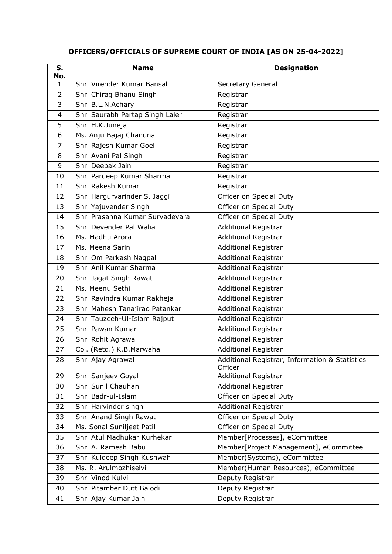## **OFFICERS/OFFICIALS OF SUPREME COURT OF INDIA [AS ON 25-04-2022]**

| S.                  | <b>Name</b>                     | <b>Designation</b>                                        |
|---------------------|---------------------------------|-----------------------------------------------------------|
| No.<br>$\mathbf{1}$ | Shri Virender Kumar Bansal      | Secretary General                                         |
| $\overline{2}$      | Shri Chirag Bhanu Singh         | Registrar                                                 |
| 3                   | Shri B.L.N.Achary               | Registrar                                                 |
| $\overline{4}$      | Shri Saurabh Partap Singh Laler | Registrar                                                 |
| 5                   | Shri H.K.Juneja                 | Registrar                                                 |
| 6                   | Ms. Anju Bajaj Chandna          | Registrar                                                 |
| $\overline{7}$      | Shri Rajesh Kumar Goel          | Registrar                                                 |
| 8                   | Shri Avani Pal Singh            | Registrar                                                 |
| 9                   | Shri Deepak Jain                | Registrar                                                 |
| 10                  | Shri Pardeep Kumar Sharma       | Registrar                                                 |
| 11                  | Shri Rakesh Kumar               | Registrar                                                 |
| 12                  | Shri Hargurvarinder S. Jaggi    | Officer on Special Duty                                   |
| 13                  | Shri Yajuvender Singh           | Officer on Special Duty                                   |
| 14                  | Shri Prasanna Kumar Suryadevara | Officer on Special Duty                                   |
| 15                  | Shri Devender Pal Walia         | <b>Additional Registrar</b>                               |
| 16                  | Ms. Madhu Arora                 | <b>Additional Registrar</b>                               |
| 17                  | Ms. Meena Sarin                 | <b>Additional Registrar</b>                               |
| 18                  | Shri Om Parkash Nagpal          | <b>Additional Registrar</b>                               |
| 19                  | Shri Anil Kumar Sharma          | <b>Additional Registrar</b>                               |
| 20                  | Shri Jagat Singh Rawat          | <b>Additional Registrar</b>                               |
| 21                  | Ms. Meenu Sethi                 | Additional Registrar                                      |
| 22                  | Shri Ravindra Kumar Rakheja     | <b>Additional Registrar</b>                               |
| 23                  | Shri Mahesh Tanajirao Patankar  | <b>Additional Registrar</b>                               |
| 24                  | Shri Tauzeeh-Ul-Islam Rajput    | <b>Additional Registrar</b>                               |
| 25                  | Shri Pawan Kumar                | <b>Additional Registrar</b>                               |
| 26                  | Shri Rohit Agrawal              | <b>Additional Registrar</b>                               |
| 27                  | Col. (Retd.) K.B.Marwaha        | <b>Additional Registrar</b>                               |
| 28                  | Shri Ajay Agrawal               | Additional Registrar, Information & Statistics<br>Officer |
| 29                  | Shri Sanjeev Goyal              | <b>Additional Registrar</b>                               |
| 30                  | Shri Sunil Chauhan              | <b>Additional Registrar</b>                               |
| 31                  | Shri Badr-ul-Islam              | Officer on Special Duty                                   |
| 32                  | Shri Harvinder singh            | <b>Additional Registrar</b>                               |
| 33                  | Shri Anand Singh Rawat          | Officer on Special Duty                                   |
| 34                  | Ms. Sonal Suniljeet Patil       | Officer on Special Duty                                   |
| 35                  | Shri Atul Madhukar Kurhekar     | Member[Processes], eCommittee                             |
| 36                  | Shri A. Ramesh Babu             | Member[Project Management], eCommittee                    |
| 37                  | Shri Kuldeep Singh Kushwah      | Member(Systems), eCommittee                               |
| 38                  | Ms. R. Arulmozhiselvi           | Member(Human Resources), eCommittee                       |
| 39                  | Shri Vinod Kulvi                | Deputy Registrar                                          |
| 40                  | Shri Pitamber Dutt Balodi       | Deputy Registrar                                          |
| 41                  | Shri Ajay Kumar Jain            | Deputy Registrar                                          |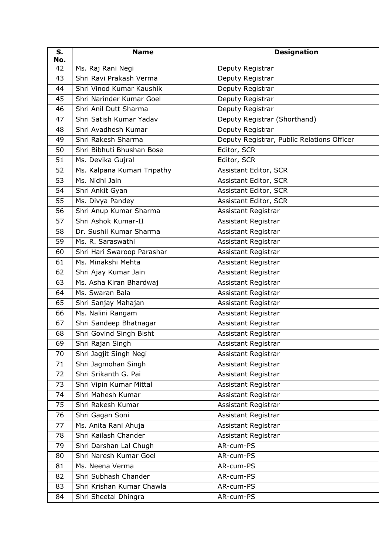| S.<br>No. | <b>Name</b>                 | <b>Designation</b>                         |
|-----------|-----------------------------|--------------------------------------------|
| 42        | Ms. Raj Rani Negi           | Deputy Registrar                           |
| 43        | Shri Ravi Prakash Verma     | Deputy Registrar                           |
| 44        | Shri Vinod Kumar Kaushik    | Deputy Registrar                           |
| 45        | Shri Narinder Kumar Goel    | Deputy Registrar                           |
| 46        | Shri Anil Dutt Sharma       | Deputy Registrar                           |
| 47        | Shri Satish Kumar Yadav     | Deputy Registrar (Shorthand)               |
| 48        | Shri Avadhesh Kumar         | Deputy Registrar                           |
| 49        | Shri Rakesh Sharma          | Deputy Registrar, Public Relations Officer |
| 50        | Shri Bibhuti Bhushan Bose   | Editor, SCR                                |
| 51        | Ms. Devika Gujral           | Editor, SCR                                |
| 52        | Ms. Kalpana Kumari Tripathy | Assistant Editor, SCR                      |
| 53        | Ms. Nidhi Jain              | Assistant Editor, SCR                      |
| 54        | Shri Ankit Gyan             | Assistant Editor, SCR                      |
| 55        | Ms. Divya Pandey            | Assistant Editor, SCR                      |
| 56        | Shri Anup Kumar Sharma      | Assistant Registrar                        |
| 57        | Shri Ashok Kumar-II         | Assistant Registrar                        |
| 58        | Dr. Sushil Kumar Sharma     | Assistant Registrar                        |
| 59        | Ms. R. Saraswathi           | Assistant Registrar                        |
| 60        | Shri Hari Swaroop Parashar  | Assistant Registrar                        |
| 61        | Ms. Minakshi Mehta          | Assistant Registrar                        |
| 62        | Shri Ajay Kumar Jain        | Assistant Registrar                        |
| 63        | Ms. Asha Kiran Bhardwaj     | Assistant Registrar                        |
| 64        | Ms. Swaran Bala             | Assistant Registrar                        |
| 65        | Shri Sanjay Mahajan         | Assistant Registrar                        |
| 66        | Ms. Nalini Rangam           | Assistant Registrar                        |
| 67        | Shri Sandeep Bhatnagar      | Assistant Registrar                        |
| 68        | Shri Govind Singh Bisht     | Assistant Registrar                        |
| 69        | Shri Rajan Singh            | Assistant Registrar                        |
| 70        | Shri Jagjit Singh Negi      | Assistant Registrar                        |
| 71        | Shri Jagmohan Singh         | Assistant Registrar                        |
| 72        | Shri Srikanth G. Pai        | Assistant Registrar                        |
| 73        | Shri Vipin Kumar Mittal     | Assistant Registrar                        |
| 74        | Shri Mahesh Kumar           | Assistant Registrar                        |
| 75        | Shri Rakesh Kumar           | Assistant Registrar                        |
| 76        | Shri Gagan Soni             | Assistant Registrar                        |
| 77        | Ms. Anita Rani Ahuja        | Assistant Registrar                        |
| 78        | Shri Kailash Chander        | Assistant Registrar                        |
| 79        | Shri Darshan Lal Chugh      | AR-cum-PS                                  |
| 80        | Shri Naresh Kumar Goel      | AR-cum-PS                                  |
| 81        | Ms. Neena Verma             | AR-cum-PS                                  |
| 82        | Shri Subhash Chander        | AR-cum-PS                                  |
| 83        | Shri Krishan Kumar Chawla   | AR-cum-PS                                  |
| 84        | Shri Sheetal Dhingra        | AR-cum-PS                                  |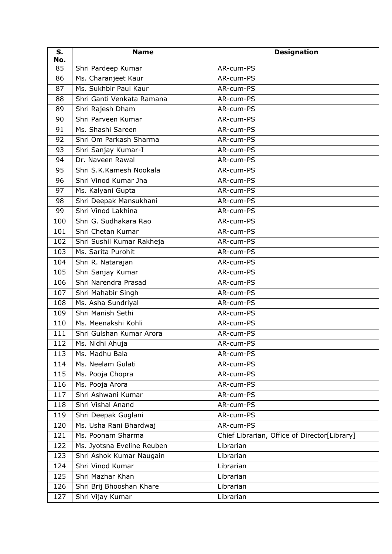| S.<br>No. | <b>Name</b>                | <b>Designation</b>                           |
|-----------|----------------------------|----------------------------------------------|
| 85        | Shri Pardeep Kumar         | AR-cum-PS                                    |
| 86        | Ms. Charanjeet Kaur        | AR-cum-PS                                    |
| 87        | Ms. Sukhbir Paul Kaur      | AR-cum-PS                                    |
| 88        | Shri Ganti Venkata Ramana  | AR-cum-PS                                    |
| 89        | Shri Rajesh Dham           | AR-cum-PS                                    |
| 90        | Shri Parveen Kumar         | AR-cum-PS                                    |
| 91        | Ms. Shashi Sareen          | AR-cum-PS                                    |
| 92        | Shri Om Parkash Sharma     | AR-cum-PS                                    |
| 93        | Shri Sanjay Kumar-I        | AR-cum-PS                                    |
| 94        | Dr. Naveen Rawal           | AR-cum-PS                                    |
| 95        | Shri S.K.Kamesh Nookala    | AR-cum-PS                                    |
| 96        | Shri Vinod Kumar Jha       | AR-cum-PS                                    |
| 97        | Ms. Kalyani Gupta          | AR-cum-PS                                    |
| 98        | Shri Deepak Mansukhani     | AR-cum-PS                                    |
| 99        | Shri Vinod Lakhina         | AR-cum-PS                                    |
| 100       | Shri G. Sudhakara Rao      | AR-cum-PS                                    |
| 101       | Shri Chetan Kumar          | AR-cum-PS                                    |
| 102       | Shri Sushil Kumar Rakheja  | AR-cum-PS                                    |
| 103       | Ms. Sarita Purohit         | AR-cum-PS                                    |
| 104       | Shri R. Natarajan          | AR-cum-PS                                    |
| 105       | Shri Sanjay Kumar          | AR-cum-PS                                    |
| 106       | Shri Narendra Prasad       | AR-cum-PS                                    |
| 107       | Shri Mahabir Singh         | AR-cum-PS                                    |
| 108       | Ms. Asha Sundriyal         | AR-cum-PS                                    |
| 109       | Shri Manish Sethi          | AR-cum-PS                                    |
| 110       | Ms. Meenakshi Kohli        | AR-cum-PS                                    |
| 111       | Shri Gulshan Kumar Arora   | AR-cum-PS                                    |
| 112       | Ms. Nidhi Ahuja            | AR-cum-PS                                    |
| 113       | Ms. Madhu Bala             | AR-cum-PS                                    |
| 114       | Ms. Neelam Gulati          | AR-cum-PS                                    |
| 115       | Ms. Pooja Chopra           | AR-cum-PS                                    |
| 116       | Ms. Pooja Arora            | AR-cum-PS                                    |
| 117       | Shri Ashwani Kumar         | AR-cum-PS                                    |
| 118       | Shri Vishal Anand          | AR-cum-PS                                    |
| 119       | Shri Deepak Guglani        | AR-cum-PS                                    |
| 120       | Ms. Usha Rani Bhardwaj     | AR-cum-PS                                    |
| 121       | Ms. Poonam Sharma          | Chief Librarian, Office of Director[Library] |
| 122       | Ms. Jyotsna Eveline Reuben | Librarian                                    |
| 123       | Shri Ashok Kumar Naugain   | Librarian                                    |
| 124       | Shri Vinod Kumar           | Librarian                                    |
| 125       | Shri Mazhar Khan           | Librarian                                    |
| 126       | Shri Brij Bhooshan Khare   | Librarian                                    |
| 127       | Shri Vijay Kumar           | Librarian                                    |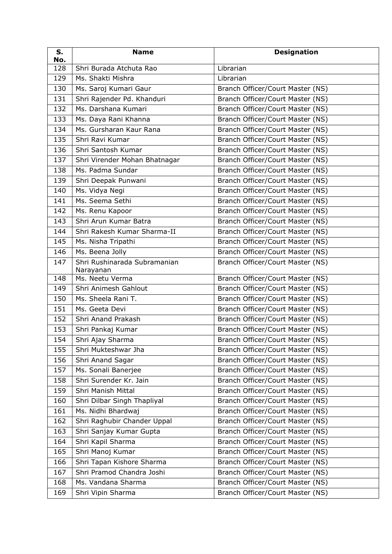| S.<br>No. | <b>Name</b>                               | <b>Designation</b>               |
|-----------|-------------------------------------------|----------------------------------|
| 128       | Shri Burada Atchuta Rao                   | Librarian                        |
| 129       | Ms. Shakti Mishra                         | Librarian                        |
| 130       | Ms. Saroj Kumari Gaur                     | Branch Officer/Court Master (NS) |
| 131       | Shri Rajender Pd. Khanduri                | Branch Officer/Court Master (NS) |
| 132       | Ms. Darshana Kumari                       | Branch Officer/Court Master (NS) |
| 133       | Ms. Daya Rani Khanna                      | Branch Officer/Court Master (NS) |
| 134       | Ms. Gursharan Kaur Rana                   | Branch Officer/Court Master (NS) |
| 135       | Shri Ravi Kumar                           | Branch Officer/Court Master (NS) |
| 136       | Shri Santosh Kumar                        | Branch Officer/Court Master (NS) |
| 137       | Shri Virender Mohan Bhatnagar             | Branch Officer/Court Master (NS) |
| 138       | Ms. Padma Sundar                          | Branch Officer/Court Master (NS) |
| 139       | Shri Deepak Punwani                       | Branch Officer/Court Master (NS) |
| 140       | Ms. Vidya Negi                            | Branch Officer/Court Master (NS) |
| 141       | Ms. Seema Sethi                           | Branch Officer/Court Master (NS) |
| 142       | Ms. Renu Kapoor                           | Branch Officer/Court Master (NS) |
| 143       | Shri Arun Kumar Batra                     | Branch Officer/Court Master (NS) |
| 144       | Shri Rakesh Kumar Sharma-II               | Branch Officer/Court Master (NS) |
| 145       | Ms. Nisha Tripathi                        | Branch Officer/Court Master (NS) |
| 146       | Ms. Beena Jolly                           | Branch Officer/Court Master (NS) |
| 147       | Shri Rushinarada Subramanian<br>Narayanan | Branch Officer/Court Master (NS) |
| 148       | Ms. Neetu Verma                           | Branch Officer/Court Master (NS) |
| 149       | Shri Animesh Gahlout                      | Branch Officer/Court Master (NS) |
| 150       | Ms. Sheela Rani T.                        | Branch Officer/Court Master (NS) |
| 151       | Ms. Geeta Devi                            | Branch Officer/Court Master (NS) |
| 152       | Shri Anand Prakash                        | Branch Officer/Court Master (NS) |
| 153       | Shri Pankaj Kumar                         | Branch Officer/Court Master (NS) |
| 154       | Shri Ajay Sharma                          | Branch Officer/Court Master (NS) |
| 155       | Shri Mukteshwar Jha                       | Branch Officer/Court Master (NS) |
| 156       | Shri Anand Sagar                          | Branch Officer/Court Master (NS) |
| 157       | Ms. Sonali Banerjee                       | Branch Officer/Court Master (NS) |
| 158       | Shri Surender Kr. Jain                    | Branch Officer/Court Master (NS) |
| 159       | Shri Manish Mittal                        | Branch Officer/Court Master (NS) |
| 160       | Shri Dilbar Singh Thapliyal               | Branch Officer/Court Master (NS) |
| 161       | Ms. Nidhi Bhardwaj                        | Branch Officer/Court Master (NS) |
| 162       | Shri Raghubir Chander Uppal               | Branch Officer/Court Master (NS) |
| 163       | Shri Sanjay Kumar Gupta                   | Branch Officer/Court Master (NS) |
| 164       | Shri Kapil Sharma                         | Branch Officer/Court Master (NS) |
| 165       | Shri Manoj Kumar                          | Branch Officer/Court Master (NS) |
| 166       | Shri Tapan Kishore Sharma                 | Branch Officer/Court Master (NS) |
| 167       | Shri Pramod Chandra Joshi                 | Branch Officer/Court Master (NS) |
| 168       | Ms. Vandana Sharma                        | Branch Officer/Court Master (NS) |
| 169       | Shri Vipin Sharma                         | Branch Officer/Court Master (NS) |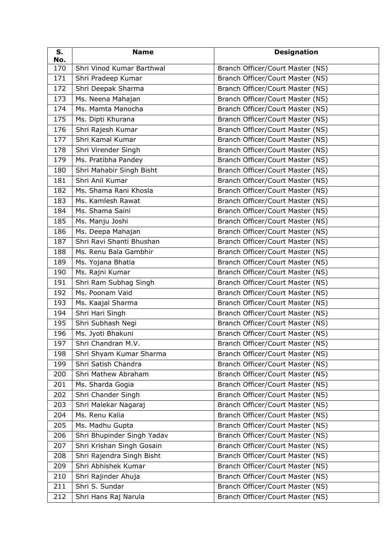| S.<br>No. | <b>Name</b>                | <b>Designation</b>               |
|-----------|----------------------------|----------------------------------|
| 170       | Shri Vinod Kumar Barthwal  | Branch Officer/Court Master (NS) |
| 171       | Shri Pradeep Kumar         | Branch Officer/Court Master (NS) |
| 172       | Shri Deepak Sharma         | Branch Officer/Court Master (NS) |
| 173       | Ms. Neena Mahajan          | Branch Officer/Court Master (NS) |
| 174       | Ms. Mamta Manocha          | Branch Officer/Court Master (NS) |
| 175       | Ms. Dipti Khurana          | Branch Officer/Court Master (NS) |
| 176       | Shri Rajesh Kumar          | Branch Officer/Court Master (NS) |
| 177       | Shri Kamal Kumar           | Branch Officer/Court Master (NS) |
| 178       | Shri Virender Singh        | Branch Officer/Court Master (NS) |
| 179       | Ms. Pratibha Pandey        | Branch Officer/Court Master (NS) |
| 180       | Shri Mahabir Singh Bisht   | Branch Officer/Court Master (NS) |
| 181       | Shri Anil Kumar            | Branch Officer/Court Master (NS) |
| 182       | Ms. Shama Rani Khosla      | Branch Officer/Court Master (NS) |
| 183       | Ms. Kamlesh Rawat          | Branch Officer/Court Master (NS) |
| 184       | Ms. Shama Saini            | Branch Officer/Court Master (NS) |
| 185       | Ms. Manju Joshi            | Branch Officer/Court Master (NS) |
| 186       | Ms. Deepa Mahajan          | Branch Officer/Court Master (NS) |
| 187       | Shri Ravi Shanti Bhushan   | Branch Officer/Court Master (NS) |
| 188       | Ms. Renu Bala Gambhir      | Branch Officer/Court Master (NS) |
| 189       | Ms. Yojana Bhatia          | Branch Officer/Court Master (NS) |
| 190       | Ms. Rajni Kumar            | Branch Officer/Court Master (NS) |
| 191       | Shri Ram Subhag Singh      | Branch Officer/Court Master (NS) |
| 192       | Ms. Poonam Vaid            | Branch Officer/Court Master (NS) |
| 193       | Ms. Kaajal Sharma          | Branch Officer/Court Master (NS) |
| 194       | Shri Hari Singh            | Branch Officer/Court Master (NS) |
| 195       | Shri Subhash Negi          | Branch Officer/Court Master (NS) |
| 196       | Ms. Jyoti Bhakuni          | Branch Officer/Court Master (NS) |
| 197       | Shri Chandran M.V.         | Branch Officer/Court Master (NS) |
| 198       | Shri Shyam Kumar Sharma    | Branch Officer/Court Master (NS) |
| 199       | Shri Satish Chandra        | Branch Officer/Court Master (NS) |
| 200       | Shri Mathew Abraham        | Branch Officer/Court Master (NS) |
| 201       | Ms. Sharda Gogia           | Branch Officer/Court Master (NS) |
| 202       | Shri Chander Singh         | Branch Officer/Court Master (NS) |
| 203       | Shri Malekar Nagaraj       | Branch Officer/Court Master (NS) |
| 204       | Ms. Renu Kalia             | Branch Officer/Court Master (NS) |
| 205       | Ms. Madhu Gupta            | Branch Officer/Court Master (NS) |
| 206       | Shri Bhupinder Singh Yadav | Branch Officer/Court Master (NS) |
| 207       | Shri Krishan Singh Gosain  | Branch Officer/Court Master (NS) |
| 208       | Shri Rajendra Singh Bisht  | Branch Officer/Court Master (NS) |
| 209       | Shri Abhishek Kumar        | Branch Officer/Court Master (NS) |
| 210       | Shri Rajinder Ahuja        | Branch Officer/Court Master (NS) |
| 211       | Shri S. Sundar             | Branch Officer/Court Master (NS) |
| 212       | Shri Hans Raj Narula       | Branch Officer/Court Master (NS) |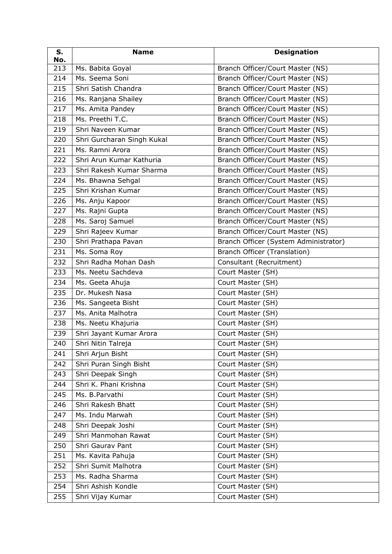| S.<br>No. | <b>Name</b>                | <b>Designation</b>                    |
|-----------|----------------------------|---------------------------------------|
| 213       | Ms. Babita Goyal           | Branch Officer/Court Master (NS)      |
| 214       | Ms. Seema Soni             | Branch Officer/Court Master (NS)      |
| 215       | Shri Satish Chandra        | Branch Officer/Court Master (NS)      |
| 216       | Ms. Ranjana Shailey        | Branch Officer/Court Master (NS)      |
| 217       | Ms. Amita Pandey           | Branch Officer/Court Master (NS)      |
| 218       | Ms. Preethi T.C.           | Branch Officer/Court Master (NS)      |
| 219       | Shri Naveen Kumar          | Branch Officer/Court Master (NS)      |
| 220       | Shri Gurcharan Singh Kukal | Branch Officer/Court Master (NS)      |
| 221       | Ms. Ramni Arora            | Branch Officer/Court Master (NS)      |
| 222       | Shri Arun Kumar Kathuria   | Branch Officer/Court Master (NS)      |
| 223       | Shri Rakesh Kumar Sharma   | Branch Officer/Court Master (NS)      |
| 224       | Ms. Bhawna Sehgal          | Branch Officer/Court Master (NS)      |
| 225       | Shri Krishan Kumar         | Branch Officer/Court Master (NS)      |
| 226       | Ms. Anju Kapoor            | Branch Officer/Court Master (NS)      |
| 227       | Ms. Rajni Gupta            | Branch Officer/Court Master (NS)      |
| 228       | Ms. Saroj Samuel           | Branch Officer/Court Master (NS)      |
| 229       | Shri Rajeev Kumar          | Branch Officer/Court Master (NS)      |
| 230       | Shri Prathapa Pavan        | Branch Officer (System Administrator) |
| 231       | Ms. Soma Roy               | Branch Officer (Translation)          |
| 232       | Shri Radha Mohan Dash      | Consultant (Recruitment)              |
| 233       | Ms. Neetu Sachdeva         | Court Master (SH)                     |
| 234       | Ms. Geeta Ahuja            | Court Master (SH)                     |
| 235       | Dr. Mukesh Nasa            | Court Master (SH)                     |
| 236       | Ms. Sangeeta Bisht         | Court Master (SH)                     |
| 237       | Ms. Anita Malhotra         | Court Master (SH)                     |
| 238       | Ms. Neetu Khajuria         | Court Master (SH)                     |
| 239       | Shri Jayant Kumar Arora    | Court Master (SH)                     |
| 240       | Shri Nitin Talreja         | Court Master (SH)                     |
| 241       | Shri Arjun Bisht           | Court Master (SH)                     |
| 242       | Shri Puran Singh Bisht     | Court Master (SH)                     |
| 243       | Shri Deepak Singh          | Court Master (SH)                     |
| 244       | Shri K. Phani Krishna      | Court Master (SH)                     |
| 245       | Ms. B.Parvathi             | Court Master (SH)                     |
| 246       | Shri Rakesh Bhatt          | Court Master (SH)                     |
| 247       | Ms. Indu Marwah            | Court Master (SH)                     |
| 248       | Shri Deepak Joshi          | Court Master (SH)                     |
| 249       | Shri Manmohan Rawat        | Court Master (SH)                     |
| 250       | Shri Gaurav Pant           | Court Master (SH)                     |
| 251       | Ms. Kavita Pahuja          | Court Master (SH)                     |
| 252       | Shri Sumit Malhotra        | Court Master (SH)                     |
| 253       | Ms. Radha Sharma           | Court Master (SH)                     |
| 254       | Shri Ashish Kondle         | Court Master (SH)                     |
| 255       | Shri Vijay Kumar           | Court Master (SH)                     |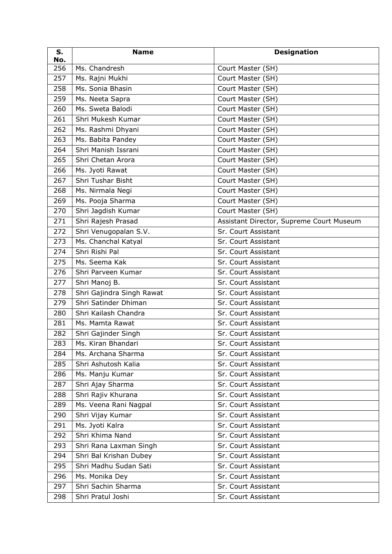| S.<br>No. | <b>Name</b>               | <b>Designation</b>                       |
|-----------|---------------------------|------------------------------------------|
| 256       | Ms. Chandresh             | Court Master (SH)                        |
| 257       | Ms. Rajni Mukhi           | Court Master (SH)                        |
| 258       | Ms. Sonia Bhasin          | Court Master (SH)                        |
| 259       | Ms. Neeta Sapra           | Court Master (SH)                        |
| 260       | Ms. Sweta Balodi          | Court Master (SH)                        |
| 261       | Shri Mukesh Kumar         | Court Master (SH)                        |
| 262       | Ms. Rashmi Dhyani         | Court Master (SH)                        |
| 263       | Ms. Babita Pandey         | Court Master (SH)                        |
| 264       | Shri Manish Issrani       | Court Master (SH)                        |
| 265       | Shri Chetan Arora         | Court Master (SH)                        |
| 266       | Ms. Jyoti Rawat           | Court Master (SH)                        |
| 267       | Shri Tushar Bisht         | Court Master (SH)                        |
| 268       | Ms. Nirmala Negi          | Court Master (SH)                        |
| 269       | Ms. Pooja Sharma          | Court Master (SH)                        |
| 270       | Shri Jagdish Kumar        | Court Master (SH)                        |
| 271       | Shri Rajesh Prasad        | Assistant Director, Supreme Court Museum |
| 272       | Shri Venugopalan S.V.     | Sr. Court Assistant                      |
| 273       | Ms. Chanchal Katyal       | Sr. Court Assistant                      |
| 274       | Shri Rishi Pal            | Sr. Court Assistant                      |
| 275       | Ms. Seema Kak             | Sr. Court Assistant                      |
| 276       | Shri Parveen Kumar        | Sr. Court Assistant                      |
| 277       | Shri Manoj B.             | Sr. Court Assistant                      |
| 278       | Shri Gajindra Singh Rawat | Sr. Court Assistant                      |
| 279       | Shri Satinder Dhiman      | Sr. Court Assistant                      |
| 280       | Shri Kailash Chandra      | Sr. Court Assistant                      |
| 281       | Ms. Mamta Rawat           | Sr. Court Assistant                      |
| 282       | Shri Gajinder Singh       | Sr. Court Assistant                      |
| 283       | Ms. Kiran Bhandari        | Sr. Court Assistant                      |
| 284       | Ms. Archana Sharma        | Sr. Court Assistant                      |
| 285       | Shri Ashutosh Kalia       | Sr. Court Assistant                      |
| 286       | Ms. Manju Kumar           | Sr. Court Assistant                      |
| 287       | Shri Ajay Sharma          | Sr. Court Assistant                      |
| 288       | Shri Rajiv Khurana        | Sr. Court Assistant                      |
| 289       | Ms. Veena Rani Nagpal     | Sr. Court Assistant                      |
| 290       | Shri Vijay Kumar          | Sr. Court Assistant                      |
| 291       | Ms. Jyoti Kalra           | Sr. Court Assistant                      |
| 292       | Shri Khima Nand           | Sr. Court Assistant                      |
| 293       | Shri Rana Laxman Singh    | Sr. Court Assistant                      |
| 294       | Shri Bal Krishan Dubey    | Sr. Court Assistant                      |
| 295       | Shri Madhu Sudan Sati     | Sr. Court Assistant                      |
| 296       | Ms. Monika Dey            | Sr. Court Assistant                      |
| 297       | Shri Sachin Sharma        | Sr. Court Assistant                      |
| 298       | Shri Pratul Joshi         | Sr. Court Assistant                      |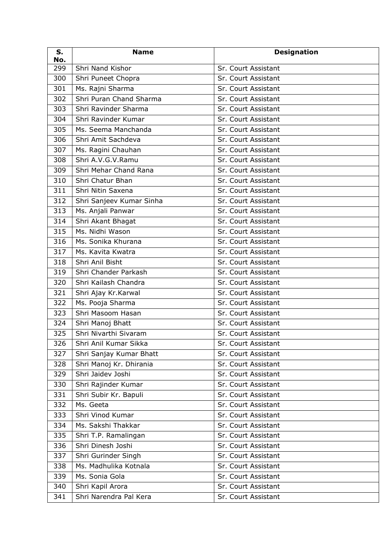| S.<br>No. | <b>Name</b>              | <b>Designation</b>  |
|-----------|--------------------------|---------------------|
| 299       | Shri Nand Kishor         | Sr. Court Assistant |
| 300       | Shri Puneet Chopra       | Sr. Court Assistant |
| 301       | Ms. Rajni Sharma         | Sr. Court Assistant |
| 302       | Shri Puran Chand Sharma  | Sr. Court Assistant |
| 303       | Shri Ravinder Sharma     | Sr. Court Assistant |
| 304       | Shri Ravinder Kumar      | Sr. Court Assistant |
| 305       | Ms. Seema Manchanda      | Sr. Court Assistant |
| 306       | Shri Amit Sachdeva       | Sr. Court Assistant |
| 307       | Ms. Ragini Chauhan       | Sr. Court Assistant |
| 308       | Shri A.V.G.V.Ramu        | Sr. Court Assistant |
| 309       | Shri Mehar Chand Rana    | Sr. Court Assistant |
| 310       | Shri Chatur Bhan         | Sr. Court Assistant |
| 311       | Shri Nitin Saxena        | Sr. Court Assistant |
| 312       | Shri Sanjeev Kumar Sinha | Sr. Court Assistant |
| 313       | Ms. Anjali Panwar        | Sr. Court Assistant |
| 314       | Shri Akant Bhagat        | Sr. Court Assistant |
| 315       | Ms. Nidhi Wason          | Sr. Court Assistant |
| 316       | Ms. Sonika Khurana       | Sr. Court Assistant |
| 317       | Ms. Kavita Kwatra        | Sr. Court Assistant |
| 318       | Shri Anil Bisht          | Sr. Court Assistant |
| 319       | Shri Chander Parkash     | Sr. Court Assistant |
| 320       | Shri Kailash Chandra     | Sr. Court Assistant |
| 321       | Shri Ajay Kr. Karwal     | Sr. Court Assistant |
| 322       | Ms. Pooja Sharma         | Sr. Court Assistant |
| 323       | Shri Masoom Hasan        | Sr. Court Assistant |
| 324       | Shri Manoj Bhatt         | Sr. Court Assistant |
| 325       | Shri Nivarthi Sivaram    | Sr. Court Assistant |
| 326       | Shri Anil Kumar Sikka    | Sr. Court Assistant |
| 327       | Shri Sanjay Kumar Bhatt  | Sr. Court Assistant |
| 328       | Shri Manoj Kr. Dhirania  | Sr. Court Assistant |
| 329       | Shri Jaidev Joshi        | Sr. Court Assistant |
| 330       | Shri Rajinder Kumar      | Sr. Court Assistant |
| 331       | Shri Subir Kr. Bapuli    | Sr. Court Assistant |
| 332       | Ms. Geeta                | Sr. Court Assistant |
| 333       | Shri Vinod Kumar         | Sr. Court Assistant |
| 334       | Ms. Sakshi Thakkar       | Sr. Court Assistant |
| 335       | Shri T.P. Ramalingan     | Sr. Court Assistant |
| 336       | Shri Dinesh Joshi        | Sr. Court Assistant |
| 337       | Shri Gurinder Singh      | Sr. Court Assistant |
| 338       | Ms. Madhulika Kotnala    | Sr. Court Assistant |
| 339       | Ms. Sonia Gola           | Sr. Court Assistant |
| 340       | Shri Kapil Arora         | Sr. Court Assistant |
| 341       | Shri Narendra Pal Kera   | Sr. Court Assistant |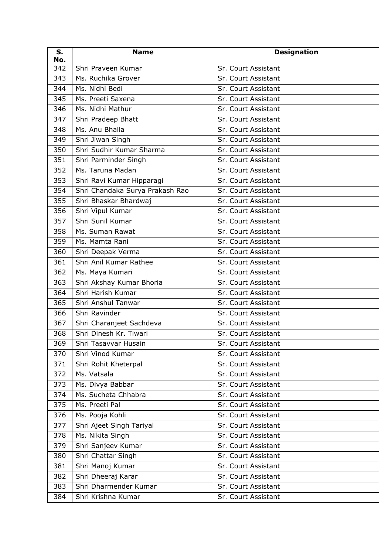| S.<br>No. | <b>Name</b>                     | <b>Designation</b>  |
|-----------|---------------------------------|---------------------|
| 342       | Shri Praveen Kumar              | Sr. Court Assistant |
| 343       | Ms. Ruchika Grover              | Sr. Court Assistant |
| 344       | Ms. Nidhi Bedi                  | Sr. Court Assistant |
| 345       | Ms. Preeti Saxena               | Sr. Court Assistant |
| 346       | Ms. Nidhi Mathur                | Sr. Court Assistant |
| 347       | Shri Pradeep Bhatt              | Sr. Court Assistant |
| 348       | Ms. Anu Bhalla                  | Sr. Court Assistant |
| 349       | Shri Jiwan Singh                | Sr. Court Assistant |
| 350       | Shri Sudhir Kumar Sharma        | Sr. Court Assistant |
| 351       | Shri Parminder Singh            | Sr. Court Assistant |
| 352       | Ms. Taruna Madan                | Sr. Court Assistant |
| 353       | Shri Ravi Kumar Hipparagi       | Sr. Court Assistant |
| 354       | Shri Chandaka Surya Prakash Rao | Sr. Court Assistant |
| 355       | Shri Bhaskar Bhardwaj           | Sr. Court Assistant |
| 356       | Shri Vipul Kumar                | Sr. Court Assistant |
| 357       | Shri Sunil Kumar                | Sr. Court Assistant |
| 358       | Ms. Suman Rawat                 | Sr. Court Assistant |
| 359       | Ms. Mamta Rani                  | Sr. Court Assistant |
| 360       | Shri Deepak Verma               | Sr. Court Assistant |
| 361       | Shri Anil Kumar Rathee          | Sr. Court Assistant |
| 362       | Ms. Maya Kumari                 | Sr. Court Assistant |
| 363       | Shri Akshay Kumar Bhoria        | Sr. Court Assistant |
| 364       | Shri Harish Kumar               | Sr. Court Assistant |
| 365       | Shri Anshul Tanwar              | Sr. Court Assistant |
| 366       | Shri Ravinder                   | Sr. Court Assistant |
| 367       | Shri Charanjeet Sachdeva        | Sr. Court Assistant |
| 368       | Shri Dinesh Kr. Tiwari          | Sr. Court Assistant |
| 369       | Shri Tasavvar Husain            | Sr. Court Assistant |
| 370       | Shri Vinod Kumar                | Sr. Court Assistant |
| 371       | Shri Rohit Kheterpal            | Sr. Court Assistant |
| 372       | Ms. Vatsala                     | Sr. Court Assistant |
| 373       | Ms. Divya Babbar                | Sr. Court Assistant |
| 374       | Ms. Sucheta Chhabra             | Sr. Court Assistant |
| 375       | Ms. Preeti Pal                  | Sr. Court Assistant |
| 376       | Ms. Pooja Kohli                 | Sr. Court Assistant |
| 377       | Shri Ajeet Singh Tariyal        | Sr. Court Assistant |
| 378       | Ms. Nikita Singh                | Sr. Court Assistant |
| 379       | Shri Sanjeev Kumar              | Sr. Court Assistant |
| 380       | Shri Chattar Singh              | Sr. Court Assistant |
| 381       | Shri Manoj Kumar                | Sr. Court Assistant |
| 382       | Shri Dheeraj Karar              | Sr. Court Assistant |
| 383       | Shri Dharmender Kumar           | Sr. Court Assistant |
| 384       | Shri Krishna Kumar              | Sr. Court Assistant |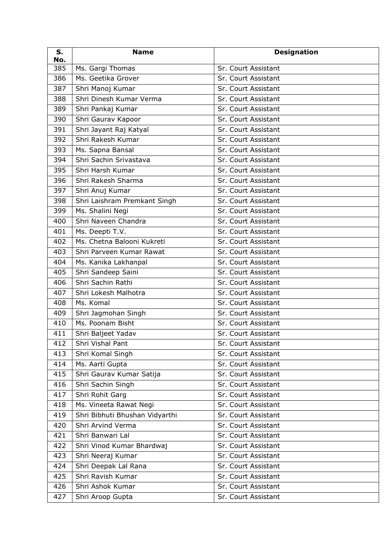| S.<br>No. | <b>Name</b>                    | <b>Designation</b>  |
|-----------|--------------------------------|---------------------|
| 385       | Ms. Gargi Thomas               | Sr. Court Assistant |
| 386       | Ms. Geetika Grover             | Sr. Court Assistant |
| 387       | Shri Manoj Kumar               | Sr. Court Assistant |
| 388       | Shri Dinesh Kumar Verma        | Sr. Court Assistant |
| 389       | Shri Pankaj Kumar              | Sr. Court Assistant |
| 390       | Shri Gaurav Kapoor             | Sr. Court Assistant |
| 391       | Shri Jayant Raj Katyal         | Sr. Court Assistant |
| 392       | Shri Rakesh Kumar              | Sr. Court Assistant |
| 393       | Ms. Sapna Bansal               | Sr. Court Assistant |
| 394       | Shri Sachin Srivastava         | Sr. Court Assistant |
| 395       | Shri Harsh Kumar               | Sr. Court Assistant |
| 396       | Shri Rakesh Sharma             | Sr. Court Assistant |
| 397       | Shri Anuj Kumar                | Sr. Court Assistant |
| 398       | Shri Laishram Premkant Singh   | Sr. Court Assistant |
| 399       | Ms. Shalini Negi               | Sr. Court Assistant |
| 400       | Shri Naveen Chandra            | Sr. Court Assistant |
| 401       | Ms. Deepti T.V.                | Sr. Court Assistant |
| 402       | Ms. Chetna Balooni Kukreti     | Sr. Court Assistant |
| 403       | Shri Parveen Kumar Rawat       | Sr. Court Assistant |
| 404       | Ms. Kanika Lakhanpal           | Sr. Court Assistant |
| 405       | Shri Sandeep Saini             | Sr. Court Assistant |
| 406       | Shri Sachin Rathi              | Sr. Court Assistant |
| 407       | Shri Lokesh Malhotra           | Sr. Court Assistant |
| 408       | Ms. Komal                      | Sr. Court Assistant |
| 409       | Shri Jagmohan Singh            | Sr. Court Assistant |
| 410       | Ms. Poonam Bisht               | Sr. Court Assistant |
| 411       | Shri Baljeet Yadav             | Sr. Court Assistant |
| 412       | Shri Vishal Pant               | Sr. Court Assistant |
| 413       | Shri Komal Singh               | Sr. Court Assistant |
| 414       | Ms. Aarti Gupta                | Sr. Court Assistant |
| 415       | Shri Gaurav Kumar Satija       | Sr. Court Assistant |
| 416       | Shri Sachin Singh              | Sr. Court Assistant |
| 417       | Shri Rohit Garg                | Sr. Court Assistant |
| 418       | Ms. Vineeta Rawat Negi         | Sr. Court Assistant |
| 419       | Shri Bibhuti Bhushan Vidyarthi | Sr. Court Assistant |
| 420       | Shri Arvind Verma              | Sr. Court Assistant |
| 421       | Shri Banwari Lal               | Sr. Court Assistant |
| 422       | Shri Vinod Kumar Bhardwaj      | Sr. Court Assistant |
| 423       | Shri Neeraj Kumar              | Sr. Court Assistant |
| 424       | Shri Deepak Lal Rana           | Sr. Court Assistant |
| 425       | Shri Ravish Kumar              | Sr. Court Assistant |
| 426       | Shri Ashok Kumar               | Sr. Court Assistant |
| 427       | Shri Aroop Gupta               | Sr. Court Assistant |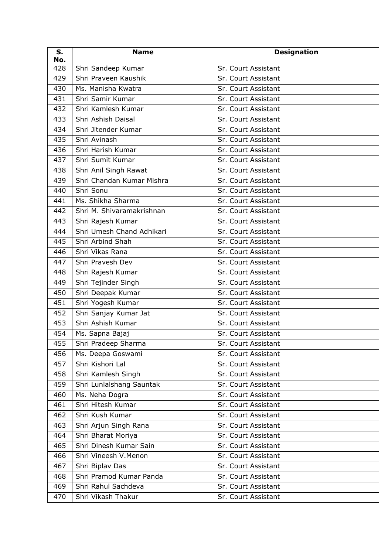| S.<br>No. | <b>Name</b>               | <b>Designation</b>  |
|-----------|---------------------------|---------------------|
| 428       | Shri Sandeep Kumar        | Sr. Court Assistant |
| 429       | Shri Praveen Kaushik      | Sr. Court Assistant |
| 430       | Ms. Manisha Kwatra        | Sr. Court Assistant |
| 431       | Shri Samir Kumar          | Sr. Court Assistant |
| 432       | Shri Kamlesh Kumar        | Sr. Court Assistant |
| 433       | Shri Ashish Daisal        | Sr. Court Assistant |
| 434       | Shri Jitender Kumar       | Sr. Court Assistant |
| 435       | Shri Avinash              | Sr. Court Assistant |
| 436       | Shri Harish Kumar         | Sr. Court Assistant |
| 437       | Shri Sumit Kumar          | Sr. Court Assistant |
| 438       | Shri Anil Singh Rawat     | Sr. Court Assistant |
| 439       | Shri Chandan Kumar Mishra | Sr. Court Assistant |
| 440       | Shri Sonu                 | Sr. Court Assistant |
| 441       | Ms. Shikha Sharma         | Sr. Court Assistant |
| 442       | Shri M. Shivaramakrishnan | Sr. Court Assistant |
| 443       | Shri Rajesh Kumar         | Sr. Court Assistant |
| 444       | Shri Umesh Chand Adhikari | Sr. Court Assistant |
| 445       | Shri Arbind Shah          | Sr. Court Assistant |
| 446       | Shri Vikas Rana           | Sr. Court Assistant |
| 447       | Shri Pravesh Dev          | Sr. Court Assistant |
| 448       | Shri Rajesh Kumar         | Sr. Court Assistant |
| 449       | Shri Tejinder Singh       | Sr. Court Assistant |
| 450       | Shri Deepak Kumar         | Sr. Court Assistant |
| 451       | Shri Yogesh Kumar         | Sr. Court Assistant |
| 452       | Shri Sanjay Kumar Jat     | Sr. Court Assistant |
| 453       | Shri Ashish Kumar         | Sr. Court Assistant |
| 454       | Ms. Sapna Bajaj           | Sr. Court Assistant |
| 455       | Shri Pradeep Sharma       | Sr. Court Assistant |
| 456       | Ms. Deepa Goswami         | Sr. Court Assistant |
| 457       | Shri Kishori Lal          | Sr. Court Assistant |
| 458       | Shri Kamlesh Singh        | Sr. Court Assistant |
| 459       | Shri Lunlalshang Sauntak  | Sr. Court Assistant |
| 460       | Ms. Neha Dogra            | Sr. Court Assistant |
| 461       | Shri Hitesh Kumar         | Sr. Court Assistant |
| 462       | Shri Kush Kumar           | Sr. Court Assistant |
| 463       | Shri Arjun Singh Rana     | Sr. Court Assistant |
| 464       | Shri Bharat Moriya        | Sr. Court Assistant |
| 465       | Shri Dinesh Kumar Sain    | Sr. Court Assistant |
| 466       | Shri Vineesh V.Menon      | Sr. Court Assistant |
| 467       | Shri Biplav Das           | Sr. Court Assistant |
| 468       | Shri Pramod Kumar Panda   | Sr. Court Assistant |
| 469       | Shri Rahul Sachdeva       | Sr. Court Assistant |
| 470       | Shri Vikash Thakur        | Sr. Court Assistant |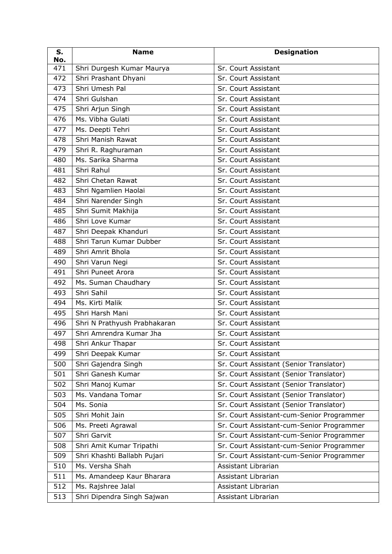| S.<br>No. | <b>Name</b>                  | <b>Designation</b>                        |
|-----------|------------------------------|-------------------------------------------|
| 471       | Shri Durgesh Kumar Maurya    | Sr. Court Assistant                       |
| 472       | Shri Prashant Dhyani         | Sr. Court Assistant                       |
| 473       | Shri Umesh Pal               | Sr. Court Assistant                       |
| 474       | Shri Gulshan                 | Sr. Court Assistant                       |
| 475       | Shri Arjun Singh             | Sr. Court Assistant                       |
| 476       | Ms. Vibha Gulati             | Sr. Court Assistant                       |
| 477       | Ms. Deepti Tehri             | Sr. Court Assistant                       |
| 478       | Shri Manish Rawat            | Sr. Court Assistant                       |
| 479       | Shri R. Raghuraman           | Sr. Court Assistant                       |
| 480       | Ms. Sarika Sharma            | Sr. Court Assistant                       |
| 481       | Shri Rahul                   | Sr. Court Assistant                       |
| 482       | Shri Chetan Rawat            | Sr. Court Assistant                       |
| 483       | Shri Ngamlien Haolai         | Sr. Court Assistant                       |
| 484       | Shri Narender Singh          | Sr. Court Assistant                       |
| 485       | Shri Sumit Makhija           | Sr. Court Assistant                       |
| 486       | Shri Love Kumar              | Sr. Court Assistant                       |
| 487       | Shri Deepak Khanduri         | Sr. Court Assistant                       |
| 488       | Shri Tarun Kumar Dubber      | Sr. Court Assistant                       |
| 489       | Shri Amrit Bhola             | Sr. Court Assistant                       |
| 490       | Shri Varun Negi              | Sr. Court Assistant                       |
| 491       | Shri Puneet Arora            | Sr. Court Assistant                       |
| 492       | Ms. Suman Chaudhary          | Sr. Court Assistant                       |
| 493       | Shri Sahil                   | Sr. Court Assistant                       |
| 494       | Ms. Kirti Malik              | Sr. Court Assistant                       |
| 495       | Shri Harsh Mani              | Sr. Court Assistant                       |
| 496       | Shri N Prathyush Prabhakaran | Sr. Court Assistant                       |
| 497       | Shri Amrendra Kumar Jha      | Sr. Court Assistant                       |
| 498       | Shri Ankur Thapar            | Sr. Court Assistant                       |
| 499       | Shri Deepak Kumar            | Sr. Court Assistant                       |
| 500       | Shri Gajendra Singh          | Sr. Court Assistant (Senior Translator)   |
| 501       | Shri Ganesh Kumar            | Sr. Court Assistant (Senior Translator)   |
| 502       | Shri Manoj Kumar             | Sr. Court Assistant (Senior Translator)   |
| 503       | Ms. Vandana Tomar            | Sr. Court Assistant (Senior Translator)   |
| 504       | Ms. Sonia                    | Sr. Court Assistant (Senior Translator)   |
| 505       | Shri Mohit Jain              | Sr. Court Assistant-cum-Senior Programmer |
| 506       | Ms. Preeti Agrawal           | Sr. Court Assistant-cum-Senior Programmer |
| 507       | Shri Garvit                  | Sr. Court Assistant-cum-Senior Programmer |
| 508       | Shri Amit Kumar Tripathi     | Sr. Court Assistant-cum-Senior Programmer |
| 509       | Shri Khashti Ballabh Pujari  | Sr. Court Assistant-cum-Senior Programmer |
| 510       | Ms. Versha Shah              | Assistant Librarian                       |
| 511       | Ms. Amandeep Kaur Bharara    | Assistant Librarian                       |
| 512       | Ms. Rajshree Jalal           | Assistant Librarian                       |
| 513       | Shri Dipendra Singh Sajwan   | Assistant Librarian                       |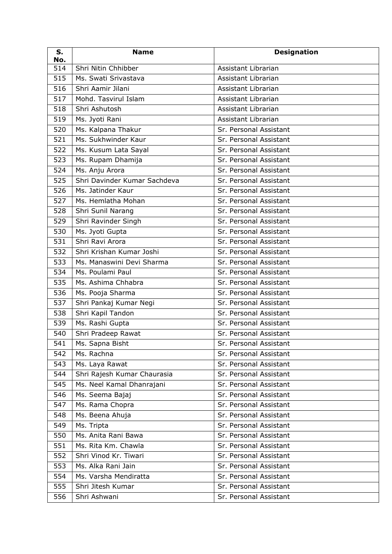| S.<br>No. | <b>Name</b>                  | <b>Designation</b>     |
|-----------|------------------------------|------------------------|
| 514       | Shri Nitin Chhibber          | Assistant Librarian    |
| 515       | Ms. Swati Srivastava         | Assistant Librarian    |
| 516       | Shri Aamir Jilani            | Assistant Librarian    |
| 517       | Mohd. Tasvirul Islam         | Assistant Librarian    |
| 518       | Shri Ashutosh                | Assistant Librarian    |
| 519       | Ms. Jyoti Rani               | Assistant Librarian    |
| 520       | Ms. Kalpana Thakur           | Sr. Personal Assistant |
| 521       | Ms. Sukhwinder Kaur          | Sr. Personal Assistant |
| 522       | Ms. Kusum Lata Sayal         | Sr. Personal Assistant |
| 523       | Ms. Rupam Dhamija            | Sr. Personal Assistant |
| 524       | Ms. Anju Arora               | Sr. Personal Assistant |
| 525       | Shri Davinder Kumar Sachdeva | Sr. Personal Assistant |
| 526       | Ms. Jatinder Kaur            | Sr. Personal Assistant |
| 527       | Ms. Hemlatha Mohan           | Sr. Personal Assistant |
| 528       | Shri Sunil Narang            | Sr. Personal Assistant |
| 529       | Shri Ravinder Singh          | Sr. Personal Assistant |
| 530       | Ms. Jyoti Gupta              | Sr. Personal Assistant |
| 531       | Shri Ravi Arora              | Sr. Personal Assistant |
| 532       | Shri Krishan Kumar Joshi     | Sr. Personal Assistant |
| 533       | Ms. Manaswini Devi Sharma    | Sr. Personal Assistant |
| 534       | Ms. Poulami Paul             | Sr. Personal Assistant |
| 535       | Ms. Ashima Chhabra           | Sr. Personal Assistant |
| 536       | Ms. Pooja Sharma             | Sr. Personal Assistant |
| 537       | Shri Pankaj Kumar Negi       | Sr. Personal Assistant |
| 538       | Shri Kapil Tandon            | Sr. Personal Assistant |
| 539       | Ms. Rashi Gupta              | Sr. Personal Assistant |
| 540       | Shri Pradeep Rawat           | Sr. Personal Assistant |
| 541       | Ms. Sapna Bisht              | Sr. Personal Assistant |
| 542       | Ms. Rachna                   | Sr. Personal Assistant |
| 543       | Ms. Laya Rawat               | Sr. Personal Assistant |
| 544       | Shri Rajesh Kumar Chaurasia  | Sr. Personal Assistant |
| 545       | Ms. Neel Kamal Dhanrajani    | Sr. Personal Assistant |
| 546       | Ms. Seema Bajaj              | Sr. Personal Assistant |
| 547       | Ms. Rama Chopra              | Sr. Personal Assistant |
| 548       | Ms. Beena Ahuja              | Sr. Personal Assistant |
| 549       | Ms. Tripta                   | Sr. Personal Assistant |
| 550       | Ms. Anita Rani Bawa          | Sr. Personal Assistant |
| 551       | Ms. Rita Km. Chawla          | Sr. Personal Assistant |
| 552       | Shri Vinod Kr. Tiwari        | Sr. Personal Assistant |
| 553       | Ms. Alka Rani Jain           | Sr. Personal Assistant |
| 554       | Ms. Varsha Mendiratta        | Sr. Personal Assistant |
| 555       | Shri Jitesh Kumar            | Sr. Personal Assistant |
| 556       | Shri Ashwani                 | Sr. Personal Assistant |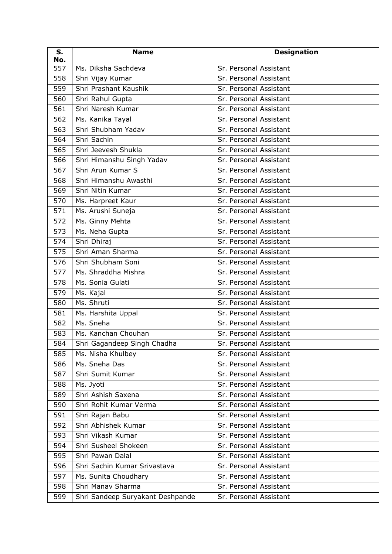| S.<br>No. | <b>Name</b>                      | <b>Designation</b>     |
|-----------|----------------------------------|------------------------|
| 557       | Ms. Diksha Sachdeva              | Sr. Personal Assistant |
| 558       | Shri Vijay Kumar                 | Sr. Personal Assistant |
| 559       | Shri Prashant Kaushik            | Sr. Personal Assistant |
| 560       | Shri Rahul Gupta                 | Sr. Personal Assistant |
| 561       | Shri Naresh Kumar                | Sr. Personal Assistant |
| 562       | Ms. Kanika Tayal                 | Sr. Personal Assistant |
| 563       | Shri Shubham Yadav               | Sr. Personal Assistant |
| 564       | Shri Sachin                      | Sr. Personal Assistant |
| 565       | Shri Jeevesh Shukla              | Sr. Personal Assistant |
| 566       | Shri Himanshu Singh Yadav        | Sr. Personal Assistant |
| 567       | Shri Arun Kumar S                | Sr. Personal Assistant |
| 568       | Shri Himanshu Awasthi            | Sr. Personal Assistant |
| 569       | Shri Nitin Kumar                 | Sr. Personal Assistant |
| 570       | Ms. Harpreet Kaur                | Sr. Personal Assistant |
| 571       | Ms. Arushi Suneja                | Sr. Personal Assistant |
| 572       | Ms. Ginny Mehta                  | Sr. Personal Assistant |
| 573       | Ms. Neha Gupta                   | Sr. Personal Assistant |
| 574       | Shri Dhiraj                      | Sr. Personal Assistant |
| 575       | Shri Aman Sharma                 | Sr. Personal Assistant |
| 576       | Shri Shubham Soni                | Sr. Personal Assistant |
| 577       | Ms. Shraddha Mishra              | Sr. Personal Assistant |
| 578       | Ms. Sonia Gulati                 | Sr. Personal Assistant |
| 579       | Ms. Kajal                        | Sr. Personal Assistant |
| 580       | Ms. Shruti                       | Sr. Personal Assistant |
| 581       | Ms. Harshita Uppal               | Sr. Personal Assistant |
| 582       | Ms. Sneha                        | Sr. Personal Assistant |
| 583       | Ms. Kanchan Chouhan              | Sr. Personal Assistant |
| 584       | Shri Gagandeep Singh Chadha      | Sr. Personal Assistant |
| 585       | Ms. Nisha Khulbey                | Sr. Personal Assistant |
| 586       | Ms. Sneha Das                    | Sr. Personal Assistant |
| 587       | Shri Sumit Kumar                 | Sr. Personal Assistant |
| 588       | Ms. Jyoti                        | Sr. Personal Assistant |
| 589       | Shri Ashish Saxena               | Sr. Personal Assistant |
| 590       | Shri Rohit Kumar Verma           | Sr. Personal Assistant |
| 591       | Shri Rajan Babu                  | Sr. Personal Assistant |
| 592       | Shri Abhishek Kumar              | Sr. Personal Assistant |
| 593       | Shri Vikash Kumar                | Sr. Personal Assistant |
| 594       | Shri Susheel Shokeen             | Sr. Personal Assistant |
| 595       | Shri Pawan Dalal                 | Sr. Personal Assistant |
| 596       | Shri Sachin Kumar Srivastava     | Sr. Personal Assistant |
| 597       | Ms. Sunita Choudhary             | Sr. Personal Assistant |
| 598       | Shri Manav Sharma                | Sr. Personal Assistant |
| 599       | Shri Sandeep Suryakant Deshpande | Sr. Personal Assistant |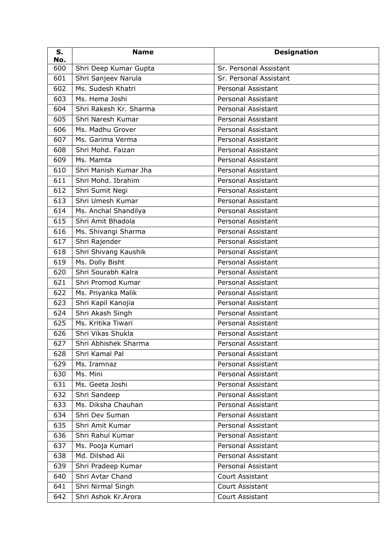| S.<br>No. | <b>Name</b>            | <b>Designation</b>        |
|-----------|------------------------|---------------------------|
| 600       | Shri Deep Kumar Gupta  | Sr. Personal Assistant    |
| 601       | Shri Sanjeev Narula    | Sr. Personal Assistant    |
| 602       | Ms. Sudesh Khatri      | <b>Personal Assistant</b> |
| 603       | Ms. Hema Joshi         | Personal Assistant        |
| 604       | Shri Rakesh Kr. Sharma | Personal Assistant        |
| 605       | Shri Naresh Kumar      | Personal Assistant        |
| 606       | Ms. Madhu Grover       | Personal Assistant        |
| 607       | Ms. Garima Verma       | <b>Personal Assistant</b> |
| 608       | Shri Mohd. Faizan      | Personal Assistant        |
| 609       | Ms. Mamta              | Personal Assistant        |
| 610       | Shri Manish Kumar Jha  | Personal Assistant        |
| 611       | Shri Mohd. Ibrahim     | <b>Personal Assistant</b> |
| 612       | Shri Sumit Negi        | Personal Assistant        |
| 613       | Shri Umesh Kumar       | Personal Assistant        |
| 614       | Ms. Anchal Shandilya   | Personal Assistant        |
| 615       | Shri Amit Bhadola      | <b>Personal Assistant</b> |
| 616       | Ms. Shivangi Sharma    | Personal Assistant        |
| 617       | Shri Rajender          | Personal Assistant        |
| 618       | Shri Shivang Kaushik   | Personal Assistant        |
| 619       | Ms. Dolly Bisht        | Personal Assistant        |
| 620       | Shri Sourabh Kalra     | Personal Assistant        |
| 621       | Shri Promod Kumar      | Personal Assistant        |
| 622       | Ms. Priyanka Malik     | Personal Assistant        |
| 623       | Shri Kapil Kanojia     | Personal Assistant        |
| 624       | Shri Akash Singh       | <b>Personal Assistant</b> |
| 625       | Ms. Kritika Tiwari     | Personal Assistant        |
| 626       | Shri Vikas Shukla      | <b>Personal Assistant</b> |
| 627       | Shri Abhishek Sharma   | Personal Assistant        |
| 628       | Shri Kamal Pal         | Personal Assistant        |
| 629       | Ms. Iramnaz            | Personal Assistant        |
| 630       | Ms. Mini               | Personal Assistant        |
| 631       | Ms. Geeta Joshi        | Personal Assistant        |
| 632       | Shri Sandeep           | Personal Assistant        |
| 633       | Ms. Diksha Chauhan     | Personal Assistant        |
| 634       | Shri Dev Suman         | Personal Assistant        |
| 635       | Shri Amit Kumar        | Personal Assistant        |
| 636       | Shri Rahul Kumar       | Personal Assistant        |
| 637       | Ms. Pooja Kumari       | Personal Assistant        |
| 638       | Md. Dilshad Ali        | Personal Assistant        |
| 639       | Shri Pradeep Kumar     | Personal Assistant        |
| 640       | Shri Avtar Chand       | Court Assistant           |
| 641       | Shri Nirmal Singh      | Court Assistant           |
| 642       | Shri Ashok Kr. Arora   | Court Assistant           |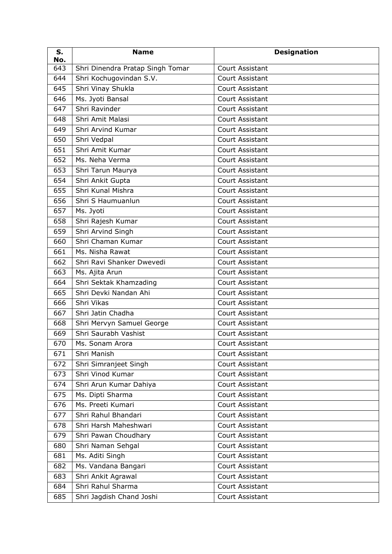| S.<br>No. | <b>Name</b>                      | <b>Designation</b>     |
|-----------|----------------------------------|------------------------|
| 643       | Shri Dinendra Pratap Singh Tomar | <b>Court Assistant</b> |
| 644       | Shri Kochugovindan S.V.          | Court Assistant        |
| 645       | Shri Vinay Shukla                | <b>Court Assistant</b> |
| 646       | Ms. Jyoti Bansal                 | <b>Court Assistant</b> |
| 647       | Shri Ravinder                    | Court Assistant        |
| 648       | Shri Amit Malasi                 | <b>Court Assistant</b> |
| 649       | Shri Arvind Kumar                | <b>Court Assistant</b> |
| 650       | Shri Vedpal                      | <b>Court Assistant</b> |
| 651       | Shri Amit Kumar                  | Court Assistant        |
| 652       | Ms. Neha Verma                   | Court Assistant        |
| 653       | Shri Tarun Maurya                | Court Assistant        |
| 654       | Shri Ankit Gupta                 | <b>Court Assistant</b> |
| 655       | Shri Kunal Mishra                | Court Assistant        |
| 656       | Shri S Haumuanlun                | Court Assistant        |
| 657       | Ms. Jyoti                        | <b>Court Assistant</b> |
| 658       | Shri Rajesh Kumar                | <b>Court Assistant</b> |
| 659       | Shri Arvind Singh                | Court Assistant        |
| 660       | Shri Chaman Kumar                | <b>Court Assistant</b> |
| 661       | Ms. Nisha Rawat                  | <b>Court Assistant</b> |
| 662       | Shri Ravi Shanker Dwevedi        | Court Assistant        |
| 663       | Ms. Ajita Arun                   | Court Assistant        |
| 664       | Shri Sektak Khamzading           | Court Assistant        |
| 665       | Shri Devki Nandan Ahi            | Court Assistant        |
| 666       | Shri Vikas                       | Court Assistant        |
| 667       | Shri Jatin Chadha                | <b>Court Assistant</b> |
| 668       | Shri Mervyn Samuel George        | Court Assistant        |
| 669       | Shri Saurabh Vashist             | Court Assistant        |
| 670       | Ms. Sonam Arora                  | Court Assistant        |
| 671       | Shri Manish                      | Court Assistant        |
| 672       | Shri Simranjeet Singh            | Court Assistant        |
| 673       | Shri Vinod Kumar                 | Court Assistant        |
| 674       | Shri Arun Kumar Dahiya           | Court Assistant        |
| 675       | Ms. Dipti Sharma                 | Court Assistant        |
| 676       | Ms. Preeti Kumari                | Court Assistant        |
| 677       | Shri Rahul Bhandari              | Court Assistant        |
| 678       | Shri Harsh Maheshwari            | Court Assistant        |
| 679       | Shri Pawan Choudhary             | Court Assistant        |
| 680       | Shri Naman Sehgal                | Court Assistant        |
| 681       | Ms. Aditi Singh                  | Court Assistant        |
| 682       | Ms. Vandana Bangari              | Court Assistant        |
| 683       | Shri Ankit Agrawal               | Court Assistant        |
| 684       | Shri Rahul Sharma                | Court Assistant        |
| 685       | Shri Jagdish Chand Joshi         | Court Assistant        |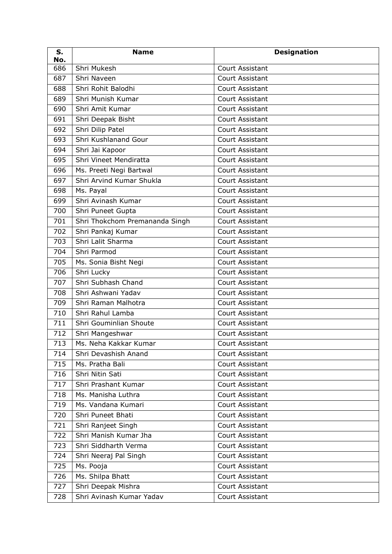| S.<br>No. | <b>Name</b>                    | <b>Designation</b>     |
|-----------|--------------------------------|------------------------|
| 686       | Shri Mukesh                    | Court Assistant        |
| 687       | Shri Naveen                    | Court Assistant        |
| 688       | Shri Rohit Balodhi             | <b>Court Assistant</b> |
| 689       | Shri Munish Kumar              | Court Assistant        |
| 690       | Shri Amit Kumar                | Court Assistant        |
| 691       | Shri Deepak Bisht              | Court Assistant        |
| 692       | Shri Dilip Patel               | Court Assistant        |
| 693       | Shri Kushlanand Gour           | Court Assistant        |
| 694       | Shri Jai Kapoor                | Court Assistant        |
| 695       | Shri Vineet Mendiratta         | Court Assistant        |
| 696       | Ms. Preeti Negi Bartwal        | Court Assistant        |
| 697       | Shri Arvind Kumar Shukla       | <b>Court Assistant</b> |
| 698       | Ms. Payal                      | Court Assistant        |
| 699       | Shri Avinash Kumar             | Court Assistant        |
| 700       | Shri Puneet Gupta              | Court Assistant        |
| 701       | Shri Thokchom Premananda Singh | Court Assistant        |
| 702       | Shri Pankaj Kumar              | Court Assistant        |
| 703       | Shri Lalit Sharma              | Court Assistant        |
| 704       | Shri Parmod                    | Court Assistant        |
| 705       | Ms. Sonia Bisht Negi           | Court Assistant        |
| 706       | Shri Lucky                     | Court Assistant        |
| 707       | Shri Subhash Chand             | Court Assistant        |
| 708       | Shri Ashwani Yadav             | Court Assistant        |
| 709       | Shri Raman Malhotra            | Court Assistant        |
| 710       | Shri Rahul Lamba               | Court Assistant        |
| 711       | Shri Gouminlian Shoute         | <b>Court Assistant</b> |
| 712       | Shri Mangeshwar                | Court Assistant        |
| 713       | Ms. Neha Kakkar Kumar          | Court Assistant        |
| 714       | Shri Devashish Anand           | Court Assistant        |
| 715       | Ms. Pratha Bali                | Court Assistant        |
| 716       | Shri Nitin Sati                | Court Assistant        |
| 717       | Shri Prashant Kumar            | Court Assistant        |
| 718       | Ms. Manisha Luthra             | Court Assistant        |
| 719       | Ms. Vandana Kumari             | Court Assistant        |
| 720       | Shri Puneet Bhati              | Court Assistant        |
| 721       | Shri Ranjeet Singh             | Court Assistant        |
| 722       | Shri Manish Kumar Jha          | Court Assistant        |
| 723       | Shri Siddharth Verma           | Court Assistant        |
| 724       | Shri Neeraj Pal Singh          | Court Assistant        |
| 725       | Ms. Pooja                      | Court Assistant        |
| 726       | Ms. Shilpa Bhatt               | Court Assistant        |
| 727       | Shri Deepak Mishra             | Court Assistant        |
| 728       | Shri Avinash Kumar Yadav       | Court Assistant        |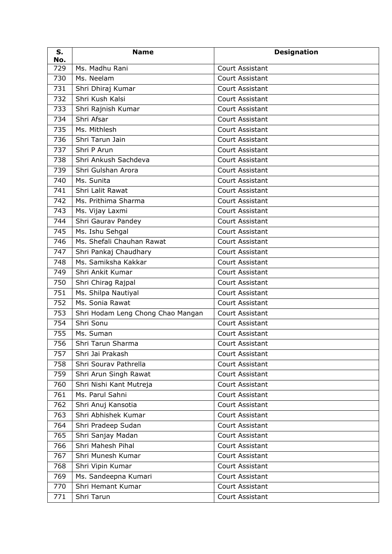| S.<br>No. | <b>Name</b>                       | <b>Designation</b>     |
|-----------|-----------------------------------|------------------------|
| 729       | Ms. Madhu Rani                    | <b>Court Assistant</b> |
| 730       | Ms. Neelam                        | <b>Court Assistant</b> |
| 731       | Shri Dhiraj Kumar                 | <b>Court Assistant</b> |
| 732       | Shri Kush Kalsi                   | Court Assistant        |
| 733       | Shri Rajnish Kumar                | Court Assistant        |
| 734       | Shri Afsar                        | <b>Court Assistant</b> |
| 735       | Ms. Mithlesh                      | Court Assistant        |
| 736       | Shri Tarun Jain                   | <b>Court Assistant</b> |
| 737       | Shri P Arun                       | Court Assistant        |
| 738       | Shri Ankush Sachdeva              | <b>Court Assistant</b> |
| 739       | Shri Gulshan Arora                | Court Assistant        |
| 740       | Ms. Sunita                        | Court Assistant        |
| 741       | Shri Lalit Rawat                  | <b>Court Assistant</b> |
| 742       | Ms. Prithima Sharma               | <b>Court Assistant</b> |
| 743       | Ms. Vijay Laxmi                   | <b>Court Assistant</b> |
| 744       | Shri Gaurav Pandey                | Court Assistant        |
| 745       | Ms. Ishu Sehgal                   | Court Assistant        |
| 746       | Ms. Shefali Chauhan Rawat         | <b>Court Assistant</b> |
| 747       | Shri Pankaj Chaudhary             | Court Assistant        |
| 748       | Ms. Samiksha Kakkar               | <b>Court Assistant</b> |
| 749       | Shri Ankit Kumar                  | <b>Court Assistant</b> |
| 750       | Shri Chirag Rajpal                | <b>Court Assistant</b> |
| 751       | Ms. Shilpa Nautiyal               | Court Assistant        |
| 752       | Ms. Sonia Rawat                   | <b>Court Assistant</b> |
| 753       | Shri Hodam Leng Chong Chao Mangan | Court Assistant        |
| 754       | Shri Sonu                         | Court Assistant        |
| 755       | Ms. Suman                         | <b>Court Assistant</b> |
| 756       | Shri Tarun Sharma                 | Court Assistant        |
| 757       | Shri Jai Prakash                  | Court Assistant        |
| 758       | Shri Sourav Pathrella             | Court Assistant        |
| 759       | Shri Arun Singh Rawat             | Court Assistant        |
| 760       | Shri Nishi Kant Mutreja           | Court Assistant        |
| 761       | Ms. Parul Sahni                   | Court Assistant        |
| 762       | Shri Anuj Kansotia                | Court Assistant        |
| 763       | Shri Abhishek Kumar               | Court Assistant        |
| 764       | Shri Pradeep Sudan                | Court Assistant        |
| 765       | Shri Sanjay Madan                 | Court Assistant        |
| 766       | Shri Mahesh Pihal                 | Court Assistant        |
| 767       | Shri Munesh Kumar                 | Court Assistant        |
| 768       | Shri Vipin Kumar                  | Court Assistant        |
| 769       | Ms. Sandeepna Kumari              | Court Assistant        |
| 770       | Shri Hemant Kumar                 | Court Assistant        |
| 771       | Shri Tarun                        | Court Assistant        |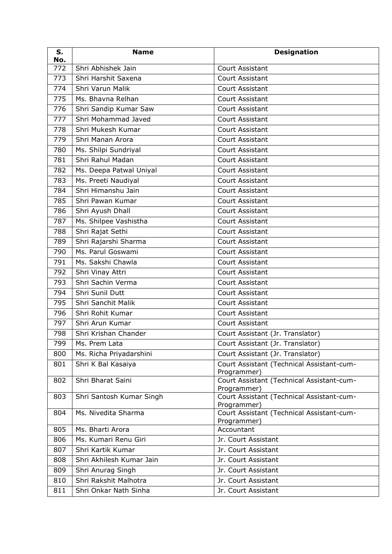| S.<br>No. | <b>Name</b>              | <b>Designation</b>                                       |
|-----------|--------------------------|----------------------------------------------------------|
| 772       | Shri Abhishek Jain       | Court Assistant                                          |
| 773       | Shri Harshit Saxena      | Court Assistant                                          |
| 774       | Shri Varun Malik         | Court Assistant                                          |
| 775       | Ms. Bhavna Relhan        | Court Assistant                                          |
| 776       | Shri Sandip Kumar Saw    | Court Assistant                                          |
| 777       | Shri Mohammad Javed      | Court Assistant                                          |
| 778       | Shri Mukesh Kumar        | Court Assistant                                          |
| 779       | Shri Manan Arora         | Court Assistant                                          |
| 780       | Ms. Shilpi Sundriyal     | Court Assistant                                          |
| 781       | Shri Rahul Madan         | Court Assistant                                          |
| 782       | Ms. Deepa Patwal Uniyal  | Court Assistant                                          |
| 783       | Ms. Preeti Naudiyal      | Court Assistant                                          |
| 784       | Shri Himanshu Jain       | Court Assistant                                          |
| 785       | Shri Pawan Kumar         | Court Assistant                                          |
| 786       | Shri Ayush Dhall         | Court Assistant                                          |
| 787       | Ms. Shilpee Vashistha    | Court Assistant                                          |
| 788       | Shri Rajat Sethi         | Court Assistant                                          |
| 789       | Shri Rajarshi Sharma     | Court Assistant                                          |
| 790       | Ms. Parul Goswami        | Court Assistant                                          |
| 791       | Ms. Sakshi Chawla        | Court Assistant                                          |
| 792       | Shri Vinay Attri         | <b>Court Assistant</b>                                   |
| 793       | Shri Sachin Verma        | Court Assistant                                          |
| 794       | Shri Sunil Dutt          | Court Assistant                                          |
| 795       | Shri Sanchit Malik       | Court Assistant                                          |
| 796       | Shri Rohit Kumar         | Court Assistant                                          |
| 797       | Shri Arun Kumar          | Court Assistant                                          |
| 798       | Shri Krishan Chander     | Court Assistant (Jr. Translator)                         |
| 799       | Ms. Prem Lata            | Court Assistant (Jr. Translator)                         |
| 800       | Ms. Richa Priyadarshini  | Court Assistant (Jr. Translator)                         |
| 801       | Shri K Bal Kasaiya       | Court Assistant (Technical Assistant-cum-<br>Programmer) |
| 802       | Shri Bharat Saini        | Court Assistant (Technical Assistant-cum-                |
|           |                          | Programmer)                                              |
| 803       | Shri Santosh Kumar Singh | Court Assistant (Technical Assistant-cum-<br>Programmer) |
| 804       | Ms. Nivedita Sharma      | Court Assistant (Technical Assistant-cum-<br>Programmer) |
| 805       | Ms. Bharti Arora         | Accountant                                               |
| 806       | Ms. Kumari Renu Giri     | Jr. Court Assistant                                      |
| 807       | Shri Kartik Kumar        | Jr. Court Assistant                                      |
| 808       | Shri Akhilesh Kumar Jain | Jr. Court Assistant                                      |
| 809       | Shri Anurag Singh        | Jr. Court Assistant                                      |
| 810       | Shri Rakshit Malhotra    | Jr. Court Assistant                                      |
| 811       | Shri Onkar Nath Sinha    | Jr. Court Assistant                                      |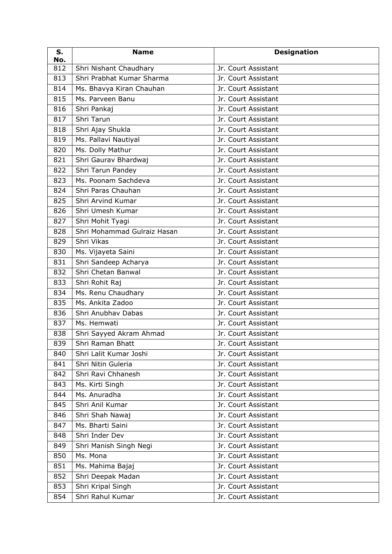| S.<br>No. | <b>Name</b>                 | <b>Designation</b>  |
|-----------|-----------------------------|---------------------|
| 812       | Shri Nishant Chaudhary      | Jr. Court Assistant |
| 813       | Shri Prabhat Kumar Sharma   | Jr. Court Assistant |
| 814       | Ms. Bhavya Kiran Chauhan    | Jr. Court Assistant |
| 815       | Ms. Parveen Banu            | Jr. Court Assistant |
| 816       | Shri Pankaj                 | Jr. Court Assistant |
| 817       | Shri Tarun                  | Jr. Court Assistant |
| 818       | Shri Ajay Shukla            | Jr. Court Assistant |
| 819       | Ms. Pallavi Nautiyal        | Jr. Court Assistant |
| 820       | Ms. Dolly Mathur            | Jr. Court Assistant |
| 821       | Shri Gaurav Bhardwaj        | Jr. Court Assistant |
| 822       | Shri Tarun Pandey           | Jr. Court Assistant |
| 823       | Ms. Poonam Sachdeva         | Jr. Court Assistant |
| 824       | Shri Paras Chauhan          | Jr. Court Assistant |
| 825       | Shri Arvind Kumar           | Jr. Court Assistant |
| 826       | Shri Umesh Kumar            | Jr. Court Assistant |
| 827       | Shri Mohit Tyagi            | Jr. Court Assistant |
| 828       | Shri Mohammad Gulraiz Hasan | Jr. Court Assistant |
| 829       | Shri Vikas                  | Jr. Court Assistant |
| 830       | Ms. Vijayeta Saini          | Jr. Court Assistant |
| 831       | Shri Sandeep Acharya        | Jr. Court Assistant |
| 832       | Shri Chetan Banwal          | Jr. Court Assistant |
| 833       | Shri Rohit Raj              | Jr. Court Assistant |
| 834       | Ms. Renu Chaudhary          | Jr. Court Assistant |
| 835       | Ms. Ankita Zadoo            | Jr. Court Assistant |
| 836       | Shri Anubhav Dabas          | Jr. Court Assistant |
| 837       | Ms. Hemwati                 | Jr. Court Assistant |
| 838       | Shri Sayyed Akram Ahmad     | Jr. Court Assistant |
| 839       | Shri Raman Bhatt            | Jr. Court Assistant |
| 840       | Shri Lalit Kumar Joshi      | Jr. Court Assistant |
| 841       | Shri Nitin Guleria          | Jr. Court Assistant |
| 842       | Shri Ravi Chhanesh          | Jr. Court Assistant |
| 843       | Ms. Kirti Singh             | Jr. Court Assistant |
| 844       | Ms. Anuradha                | Jr. Court Assistant |
| 845       | Shri Anil Kumar             | Jr. Court Assistant |
| 846       | Shri Shah Nawaj             | Jr. Court Assistant |
| 847       | Ms. Bharti Saini            | Jr. Court Assistant |
| 848       | Shri Inder Dev              | Jr. Court Assistant |
| 849       | Shri Manish Singh Negi      | Jr. Court Assistant |
| 850       | Ms. Mona                    | Jr. Court Assistant |
| 851       | Ms. Mahima Bajaj            | Jr. Court Assistant |
| 852       | Shri Deepak Madan           | Jr. Court Assistant |
| 853       | Shri Kripal Singh           | Jr. Court Assistant |
| 854       | Shri Rahul Kumar            | Jr. Court Assistant |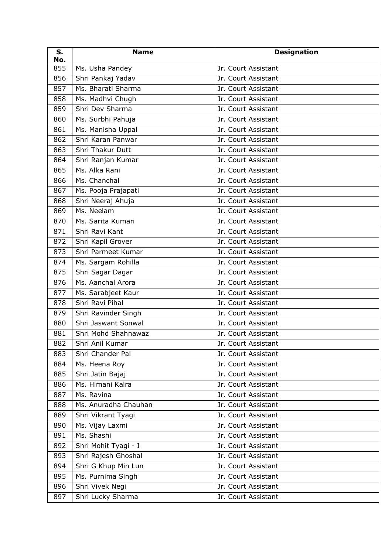| S.<br>No. | <b>Name</b>          | <b>Designation</b>  |
|-----------|----------------------|---------------------|
| 855       | Ms. Usha Pandey      | Jr. Court Assistant |
| 856       | Shri Pankaj Yadav    | Jr. Court Assistant |
| 857       | Ms. Bharati Sharma   | Jr. Court Assistant |
| 858       | Ms. Madhvi Chugh     | Jr. Court Assistant |
| 859       | Shri Dev Sharma      | Jr. Court Assistant |
| 860       | Ms. Surbhi Pahuja    | Jr. Court Assistant |
| 861       | Ms. Manisha Uppal    | Jr. Court Assistant |
| 862       | Shri Karan Panwar    | Jr. Court Assistant |
| 863       | Shri Thakur Dutt     | Jr. Court Assistant |
| 864       | Shri Ranjan Kumar    | Jr. Court Assistant |
| 865       | Ms. Alka Rani        | Jr. Court Assistant |
| 866       | Ms. Chanchal         | Jr. Court Assistant |
| 867       | Ms. Pooja Prajapati  | Jr. Court Assistant |
| 868       | Shri Neeraj Ahuja    | Jr. Court Assistant |
| 869       | Ms. Neelam           | Jr. Court Assistant |
| 870       | Ms. Sarita Kumari    | Jr. Court Assistant |
| 871       | Shri Ravi Kant       | Jr. Court Assistant |
| 872       | Shri Kapil Grover    | Jr. Court Assistant |
| 873       | Shri Parmeet Kumar   | Jr. Court Assistant |
| 874       | Ms. Sargam Rohilla   | Jr. Court Assistant |
| 875       | Shri Sagar Dagar     | Jr. Court Assistant |
| 876       | Ms. Aanchal Arora    | Jr. Court Assistant |
| 877       | Ms. Sarabjeet Kaur   | Jr. Court Assistant |
| 878       | Shri Ravi Pihal      | Jr. Court Assistant |
| 879       | Shri Ravinder Singh  | Jr. Court Assistant |
| 880       | Shri Jaswant Sonwal  | Jr. Court Assistant |
| 881       | Shri Mohd Shahnawaz  | Jr. Court Assistant |
| 882       | Shri Anil Kumar      | Jr. Court Assistant |
| 883       | Shri Chander Pal     | Jr. Court Assistant |
| 884       | Ms. Heena Roy        | Jr. Court Assistant |
| 885       | Shri Jatin Bajaj     | Jr. Court Assistant |
| 886       | Ms. Himani Kalra     | Jr. Court Assistant |
| 887       | Ms. Ravina           | Jr. Court Assistant |
| 888       | Ms. Anuradha Chauhan | Jr. Court Assistant |
| 889       | Shri Vikrant Tyagi   | Jr. Court Assistant |
| 890       | Ms. Vijay Laxmi      | Jr. Court Assistant |
| 891       | Ms. Shashi           | Jr. Court Assistant |
| 892       | Shri Mohit Tyagi - I | Jr. Court Assistant |
| 893       | Shri Rajesh Ghoshal  | Jr. Court Assistant |
| 894       | Shri G Khup Min Lun  | Jr. Court Assistant |
| 895       | Ms. Purnima Singh    | Jr. Court Assistant |
| 896       | Shri Vivek Negi      | Jr. Court Assistant |
| 897       | Shri Lucky Sharma    | Jr. Court Assistant |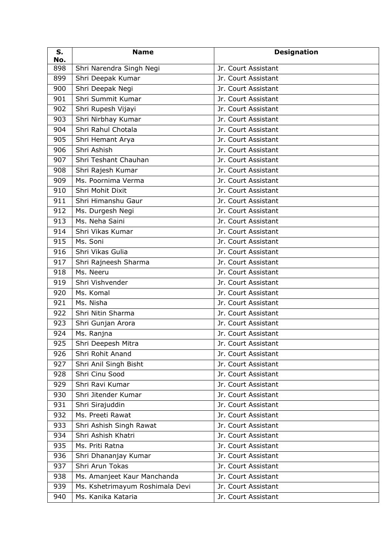| S.<br>No. | <b>Name</b>                     | <b>Designation</b>  |
|-----------|---------------------------------|---------------------|
| 898       | Shri Narendra Singh Negi        | Jr. Court Assistant |
| 899       | Shri Deepak Kumar               | Jr. Court Assistant |
| 900       | Shri Deepak Negi                | Jr. Court Assistant |
| 901       | Shri Summit Kumar               | Jr. Court Assistant |
| 902       | Shri Rupesh Vijayi              | Jr. Court Assistant |
| 903       | Shri Nirbhay Kumar              | Jr. Court Assistant |
| 904       | Shri Rahul Chotala              | Jr. Court Assistant |
| 905       | Shri Hemant Arya                | Jr. Court Assistant |
| 906       | Shri Ashish                     | Jr. Court Assistant |
| 907       | Shri Teshant Chauhan            | Jr. Court Assistant |
| 908       | Shri Rajesh Kumar               | Jr. Court Assistant |
| 909       | Ms. Poornima Verma              | Jr. Court Assistant |
| 910       | Shri Mohit Dixit                | Jr. Court Assistant |
| 911       | Shri Himanshu Gaur              | Jr. Court Assistant |
| 912       | Ms. Durgesh Negi                | Jr. Court Assistant |
| 913       | Ms. Neha Saini                  | Jr. Court Assistant |
| 914       | Shri Vikas Kumar                | Jr. Court Assistant |
| 915       | Ms. Soni                        | Jr. Court Assistant |
| 916       | Shri Vikas Gulia                | Jr. Court Assistant |
| 917       | Shri Rajneesh Sharma            | Jr. Court Assistant |
| 918       | Ms. Neeru                       | Jr. Court Assistant |
| 919       | Shri Vishvender                 | Jr. Court Assistant |
| 920       | Ms. Komal                       | Jr. Court Assistant |
| 921       | Ms. Nisha                       | Jr. Court Assistant |
| 922       | Shri Nitin Sharma               | Jr. Court Assistant |
| 923       | Shri Gunjan Arora               | Jr. Court Assistant |
| 924       | Ms. Ranjna                      | Jr. Court Assistant |
| 925       | Shri Deepesh Mitra              | Jr. Court Assistant |
| 926       | Shri Rohit Anand                | Jr. Court Assistant |
| 927       | Shri Anil Singh Bisht           | Jr. Court Assistant |
| 928       | Shri Cinu Sood                  | Jr. Court Assistant |
| 929       | Shri Ravi Kumar                 | Jr. Court Assistant |
| 930       | Shri Jitender Kumar             | Jr. Court Assistant |
| 931       | Shri Sirajuddin                 | Jr. Court Assistant |
| 932       | Ms. Preeti Rawat                | Jr. Court Assistant |
| 933       | Shri Ashish Singh Rawat         | Jr. Court Assistant |
| 934       | Shri Ashish Khatri              | Jr. Court Assistant |
| 935       | Ms. Priti Ratna                 | Jr. Court Assistant |
| 936       | Shri Dhananjay Kumar            | Jr. Court Assistant |
| 937       | Shri Arun Tokas                 | Jr. Court Assistant |
| 938       | Ms. Amanjeet Kaur Manchanda     | Jr. Court Assistant |
| 939       | Ms. Kshetrimayum Roshimala Devi | Jr. Court Assistant |
| 940       | Ms. Kanika Kataria              | Jr. Court Assistant |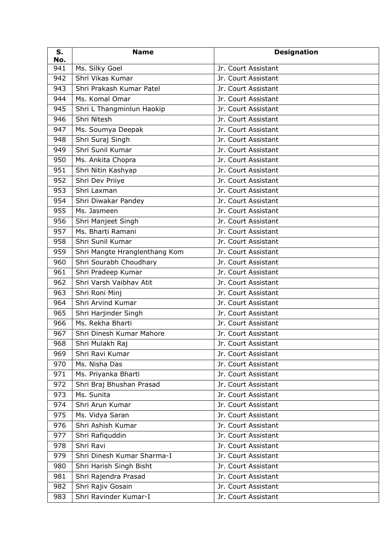| S.<br>No. | <b>Name</b>                   | <b>Designation</b>  |
|-----------|-------------------------------|---------------------|
| 941       | Ms. Silky Goel                | Jr. Court Assistant |
| 942       | Shri Vikas Kumar              | Jr. Court Assistant |
| 943       | Shri Prakash Kumar Patel      | Jr. Court Assistant |
| 944       | Ms. Komal Omar                | Jr. Court Assistant |
| 945       | Shri L Thangminlun Haokip     | Jr. Court Assistant |
| 946       | Shri Nitesh                   | Jr. Court Assistant |
| 947       | Ms. Soumya Deepak             | Jr. Court Assistant |
| 948       | Shri Suraj Singh              | Jr. Court Assistant |
| 949       | Shri Sunil Kumar              | Jr. Court Assistant |
| 950       | Ms. Ankita Chopra             | Jr. Court Assistant |
| 951       | Shri Nitin Kashyap            | Jr. Court Assistant |
| 952       | Shri Dev Priiye               | Jr. Court Assistant |
| 953       | Shri Laxman                   | Jr. Court Assistant |
| 954       | Shri Diwakar Pandey           | Jr. Court Assistant |
| 955       | Ms. Jasmeen                   | Jr. Court Assistant |
| 956       | Shri Manjeet Singh            | Jr. Court Assistant |
| 957       | Ms. Bharti Ramani             | Jr. Court Assistant |
| 958       | Shri Sunil Kumar              | Jr. Court Assistant |
| 959       | Shri Mangte Hranglenthang Kom | Jr. Court Assistant |
| 960       | Shri Sourabh Choudhary        | Jr. Court Assistant |
| 961       | Shri Pradeep Kumar            | Jr. Court Assistant |
| 962       | Shri Varsh Vaibhav Atit       | Jr. Court Assistant |
| 963       | Shri Roni Minj                | Jr. Court Assistant |
| 964       | Shri Arvind Kumar             | Jr. Court Assistant |
| 965       | Shri Harjinder Singh          | Jr. Court Assistant |
| 966       | Ms. Rekha Bharti              | Jr. Court Assistant |
| 967       | Shri Dinesh Kumar Mahore      | Jr. Court Assistant |
| 968       | Shri Mulakh Raj               | Jr. Court Assistant |
| 969       | Shri Ravi Kumar               | Jr. Court Assistant |
| 970       | Ms. Nisha Das                 | Jr. Court Assistant |
| 971       | Ms. Priyanka Bharti           | Jr. Court Assistant |
| 972       | Shri Braj Bhushan Prasad      | Jr. Court Assistant |
| 973       | Ms. Sunita                    | Jr. Court Assistant |
| 974       | Shri Arun Kumar               | Jr. Court Assistant |
| 975       | Ms. Vidya Saran               | Jr. Court Assistant |
| 976       | Shri Ashish Kumar             | Jr. Court Assistant |
| 977       | Shri Rafiquddin               | Jr. Court Assistant |
| 978       | Shri Ravi                     | Jr. Court Assistant |
| 979       | Shri Dinesh Kumar Sharma-I    | Jr. Court Assistant |
| 980       | Shri Harish Singh Bisht       | Jr. Court Assistant |
| 981       | Shri Rajendra Prasad          | Jr. Court Assistant |
| 982       | Shri Rajiv Gosain             | Jr. Court Assistant |
| 983       | Shri Ravinder Kumar-I         | Jr. Court Assistant |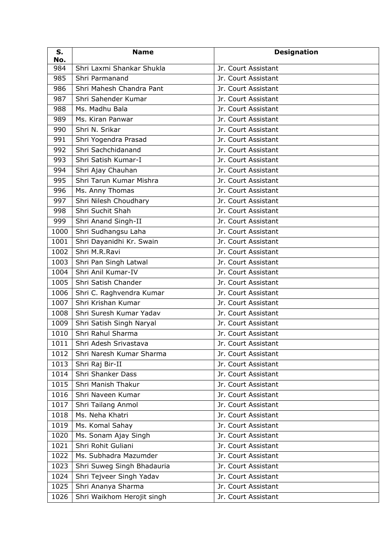| S.<br>No. | <b>Name</b>                | <b>Designation</b>  |
|-----------|----------------------------|---------------------|
| 984       | Shri Laxmi Shankar Shukla  | Jr. Court Assistant |
| 985       | Shri Parmanand             | Jr. Court Assistant |
| 986       | Shri Mahesh Chandra Pant   | Jr. Court Assistant |
| 987       | Shri Sahender Kumar        | Jr. Court Assistant |
| 988       | Ms. Madhu Bala             | Jr. Court Assistant |
| 989       | Ms. Kiran Panwar           | Jr. Court Assistant |
| 990       | Shri N. Srikar             | Jr. Court Assistant |
| 991       | Shri Yogendra Prasad       | Jr. Court Assistant |
| 992       | Shri Sachchidanand         | Jr. Court Assistant |
| 993       | Shri Satish Kumar-I        | Jr. Court Assistant |
| 994       | Shri Ajay Chauhan          | Jr. Court Assistant |
| 995       | Shri Tarun Kumar Mishra    | Jr. Court Assistant |
| 996       | Ms. Anny Thomas            | Jr. Court Assistant |
| 997       | Shri Nilesh Choudhary      | Jr. Court Assistant |
| 998       | Shri Suchit Shah           | Jr. Court Assistant |
| 999       | Shri Anand Singh-II        | Jr. Court Assistant |
| 1000      | Shri Sudhangsu Laha        | Jr. Court Assistant |
| 1001      | Shri Dayanidhi Kr. Swain   | Jr. Court Assistant |
| 1002      | Shri M.R.Ravi              | Jr. Court Assistant |
| 1003      | Shri Pan Singh Latwal      | Jr. Court Assistant |
| 1004      | Shri Anil Kumar-IV         | Jr. Court Assistant |
| 1005      | Shri Satish Chander        | Jr. Court Assistant |
| 1006      | Shri C. Raghvendra Kumar   | Jr. Court Assistant |
| 1007      | Shri Krishan Kumar         | Jr. Court Assistant |
| 1008      | Shri Suresh Kumar Yadav    | Jr. Court Assistant |
| 1009      | Shri Satish Singh Naryal   | Jr. Court Assistant |
| 1010      | Shri Rahul Sharma          | Jr. Court Assistant |
| 1011      | Shri Adesh Srivastava      | Jr. Court Assistant |
| 1012      | Shri Naresh Kumar Sharma   | Jr. Court Assistant |
| 1013      | Shri Raj Bir-II            | Jr. Court Assistant |
| 1014      | Shri Shanker Dass          | Jr. Court Assistant |
| 1015      | Shri Manish Thakur         | Jr. Court Assistant |
| 1016      | Shri Naveen Kumar          | Jr. Court Assistant |
| 1017      | Shri Tailang Anmol         | Jr. Court Assistant |
| 1018      | Ms. Neha Khatri            | Jr. Court Assistant |
| 1019      | Ms. Komal Sahay            | Jr. Court Assistant |
| 1020      | Ms. Sonam Ajay Singh       | Jr. Court Assistant |
| 1021      | Shri Rohit Guliani         | Jr. Court Assistant |
| 1022      | Ms. Subhadra Mazumder      | Jr. Court Assistant |
| 1023      | Shri Suweg Singh Bhadauria | Jr. Court Assistant |
| 1024      | Shri Tejveer Singh Yadav   | Jr. Court Assistant |
| 1025      | Shri Ananya Sharma         | Jr. Court Assistant |
| 1026      | Shri Waikhom Herojit singh | Jr. Court Assistant |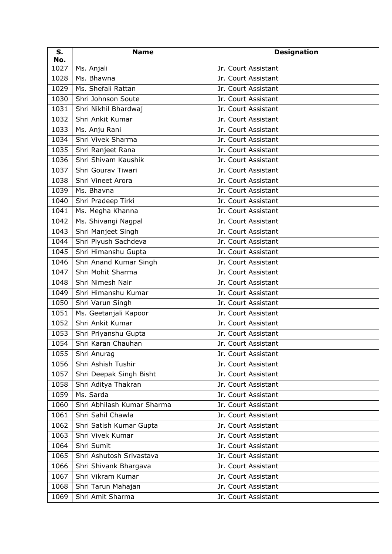| S.<br>No. | <b>Name</b>                | <b>Designation</b>  |
|-----------|----------------------------|---------------------|
| 1027      | Ms. Anjali                 | Jr. Court Assistant |
| 1028      | Ms. Bhawna                 | Jr. Court Assistant |
| 1029      | Ms. Shefali Rattan         | Jr. Court Assistant |
| 1030      | Shri Johnson Soute         | Jr. Court Assistant |
| 1031      | Shri Nikhil Bhardwaj       | Jr. Court Assistant |
| 1032      | Shri Ankit Kumar           | Jr. Court Assistant |
| 1033      | Ms. Anju Rani              | Jr. Court Assistant |
| 1034      | Shri Vivek Sharma          | Jr. Court Assistant |
| 1035      | Shri Ranjeet Rana          | Jr. Court Assistant |
| 1036      | Shri Shivam Kaushik        | Jr. Court Assistant |
| 1037      | Shri Gourav Tiwari         | Jr. Court Assistant |
| 1038      | Shri Vineet Arora          | Jr. Court Assistant |
| 1039      | Ms. Bhavna                 | Jr. Court Assistant |
| 1040      | Shri Pradeep Tirki         | Jr. Court Assistant |
| 1041      | Ms. Megha Khanna           | Jr. Court Assistant |
| 1042      | Ms. Shivangi Nagpal        | Jr. Court Assistant |
| 1043      | Shri Manjeet Singh         | Jr. Court Assistant |
| 1044      | Shri Piyush Sachdeva       | Jr. Court Assistant |
| 1045      | Shri Himanshu Gupta        | Jr. Court Assistant |
| 1046      | Shri Anand Kumar Singh     | Jr. Court Assistant |
| 1047      | Shri Mohit Sharma          | Jr. Court Assistant |
| 1048      | Shri Nimesh Nair           | Jr. Court Assistant |
| 1049      | Shri Himanshu Kumar        | Jr. Court Assistant |
| 1050      | Shri Varun Singh           | Jr. Court Assistant |
| 1051      | Ms. Geetanjali Kapoor      | Jr. Court Assistant |
| 1052      | Shri Ankit Kumar           | Jr. Court Assistant |
| 1053      | Shri Priyanshu Gupta       | Jr. Court Assistant |
| 1054      | Shri Karan Chauhan         | Jr. Court Assistant |
| 1055      | Shri Anurag                | Jr. Court Assistant |
| 1056      | Shri Ashish Tushir         | Jr. Court Assistant |
| 1057      | Shri Deepak Singh Bisht    | Jr. Court Assistant |
| 1058      | Shri Aditya Thakran        | Jr. Court Assistant |
| 1059      | Ms. Sarda                  | Jr. Court Assistant |
| 1060      | Shri Abhilash Kumar Sharma | Jr. Court Assistant |
| 1061      | Shri Sahil Chawla          | Jr. Court Assistant |
| 1062      | Shri Satish Kumar Gupta    | Jr. Court Assistant |
| 1063      | Shri Vivek Kumar           | Jr. Court Assistant |
| 1064      | Shri Sumit                 | Jr. Court Assistant |
| 1065      | Shri Ashutosh Srivastava   | Jr. Court Assistant |
| 1066      | Shri Shivank Bhargava      | Jr. Court Assistant |
| 1067      | Shri Vikram Kumar          | Jr. Court Assistant |
| 1068      | Shri Tarun Mahajan         | Jr. Court Assistant |
| 1069      | Shri Amit Sharma           | Jr. Court Assistant |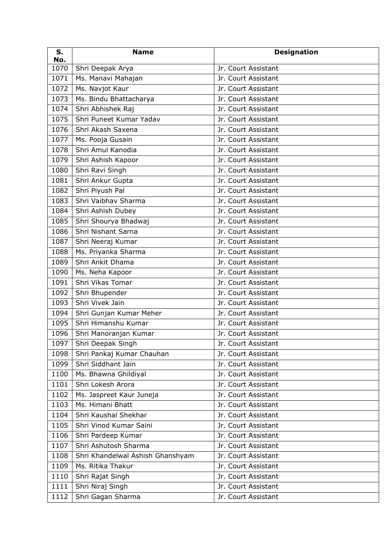| S.<br>No. | <b>Name</b>                      | <b>Designation</b>  |
|-----------|----------------------------------|---------------------|
| 1070      | Shri Deepak Arya                 | Jr. Court Assistant |
| 1071      | Ms. Manavi Mahajan               | Jr. Court Assistant |
| 1072      | Ms. Navjot Kaur                  | Jr. Court Assistant |
| 1073      | Ms. Bindu Bhattacharya           | Jr. Court Assistant |
| 1074      | Shri Abhishek Raj                | Jr. Court Assistant |
| 1075      | Shri Puneet Kumar Yadav          | Jr. Court Assistant |
| 1076      | Shri Akash Saxena                | Jr. Court Assistant |
| 1077      | Ms. Pooja Gusain                 | Jr. Court Assistant |
| 1078      | Shri Amul Kanodia                | Jr. Court Assistant |
| 1079      | Shri Ashish Kapoor               | Jr. Court Assistant |
| 1080      | Shri Ravi Singh                  | Jr. Court Assistant |
| 1081      | Shri Ankur Gupta                 | Jr. Court Assistant |
| 1082      | Shri Piyush Pal                  | Jr. Court Assistant |
| 1083      | Shri Vaibhav Sharma              | Jr. Court Assistant |
| 1084      | Shri Ashish Dubey                | Jr. Court Assistant |
| 1085      | Shri Shourya Bhadwaj             | Jr. Court Assistant |
| 1086      | Shri Nishant Sarna               | Jr. Court Assistant |
| 1087      | Shri Neeraj Kumar                | Jr. Court Assistant |
| 1088      | Ms. Priyanka Sharma              | Jr. Court Assistant |
| 1089      | Shri Ankit Dhama                 | Jr. Court Assistant |
| 1090      | Ms. Neha Kapoor                  | Jr. Court Assistant |
| 1091      | Shri Vikas Tomar                 | Jr. Court Assistant |
| 1092      | Shri Bhupender                   | Jr. Court Assistant |
| 1093      | Shri Vivek Jain                  | Jr. Court Assistant |
| 1094      | Shri Gunjan Kumar Meher          | Jr. Court Assistant |
| 1095      | Shri Himanshu Kumar              | Jr. Court Assistant |
| 1096      | Shri Manoranjan Kumar            | Jr. Court Assistant |
|           | 1097 Shri Deepak Singh           | Jr. Court Assistant |
| 1098      | Shri Pankaj Kumar Chauhan        | Jr. Court Assistant |
| 1099      | Shri Siddhant Jain               | Jr. Court Assistant |
| 1100      | Ms. Bhawna Ghildiyal             | Jr. Court Assistant |
| 1101      | Shri Lokesh Arora                | Jr. Court Assistant |
| 1102      | Ms. Jaspreet Kaur Juneja         | Jr. Court Assistant |
| 1103      | Ms. Himani Bhatt                 | Jr. Court Assistant |
| 1104      | Shri Kaushal Shekhar             | Jr. Court Assistant |
| 1105      | Shri Vinod Kumar Saini           | Jr. Court Assistant |
| 1106      | Shri Pardeep Kumar               | Jr. Court Assistant |
| 1107      | Shri Ashutosh Sharma             | Jr. Court Assistant |
| 1108      | Shri Khandelwal Ashish Ghanshyam | Jr. Court Assistant |
| 1109      | Ms. Ritika Thakur                | Jr. Court Assistant |
| 1110      | Shri Rajat Singh                 | Jr. Court Assistant |
| 1111      | Shri Niraj Singh                 | Jr. Court Assistant |
| 1112      | Shri Gagan Sharma                | Jr. Court Assistant |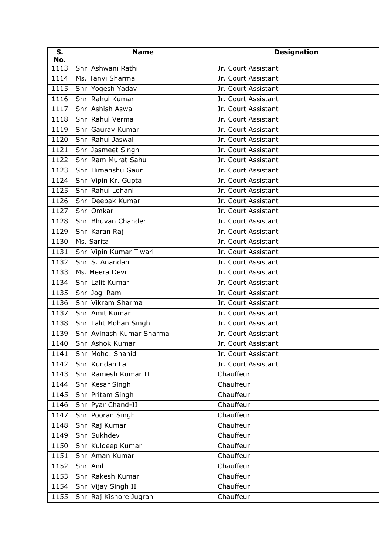| S.<br>No. | <b>Name</b>               | <b>Designation</b>  |
|-----------|---------------------------|---------------------|
| 1113      | Shri Ashwani Rathi        | Jr. Court Assistant |
| 1114      | Ms. Tanvi Sharma          | Jr. Court Assistant |
| 1115      | Shri Yogesh Yadav         | Jr. Court Assistant |
| 1116      | Shri Rahul Kumar          | Jr. Court Assistant |
| 1117      | Shri Ashish Aswal         | Jr. Court Assistant |
| 1118      | Shri Rahul Verma          | Jr. Court Assistant |
| 1119      | Shri Gaurav Kumar         | Jr. Court Assistant |
| 1120      | Shri Rahul Jaswal         | Jr. Court Assistant |
| 1121      | Shri Jasmeet Singh        | Jr. Court Assistant |
| 1122      | Shri Ram Murat Sahu       | Jr. Court Assistant |
| 1123      | Shri Himanshu Gaur        | Jr. Court Assistant |
| 1124      | Shri Vipin Kr. Gupta      | Jr. Court Assistant |
| 1125      | Shri Rahul Lohani         | Jr. Court Assistant |
| 1126      | Shri Deepak Kumar         | Jr. Court Assistant |
| 1127      | Shri Omkar                | Jr. Court Assistant |
| 1128      | Shri Bhuvan Chander       | Jr. Court Assistant |
| 1129      | Shri Karan Raj            | Jr. Court Assistant |
| 1130      | Ms. Sarita                | Jr. Court Assistant |
| 1131      | Shri Vipin Kumar Tiwari   | Jr. Court Assistant |
| 1132      | Shri S. Anandan           | Jr. Court Assistant |
| 1133      | Ms. Meera Devi            | Jr. Court Assistant |
| 1134      | Shri Lalit Kumar          | Jr. Court Assistant |
| 1135      | Shri Jogi Ram             | Jr. Court Assistant |
| 1136      | Shri Vikram Sharma        | Jr. Court Assistant |
| 1137      | Shri Amit Kumar           | Jr. Court Assistant |
| 1138      | Shri Lalit Mohan Singh    | Jr. Court Assistant |
| 1139      | Shri Avinash Kumar Sharma | Jr. Court Assistant |
|           | 1140   Shri Ashok Kumar   | Jr. Court Assistant |
| 1141      | Shri Mohd. Shahid         | Jr. Court Assistant |
| 1142      | Shri Kundan Lal           | Jr. Court Assistant |
| 1143      | Shri Ramesh Kumar II      | Chauffeur           |
| 1144      | Shri Kesar Singh          | Chauffeur           |
| 1145      | Shri Pritam Singh         | Chauffeur           |
| 1146      | Shri Pyar Chand-II        | Chauffeur           |
| 1147      | Shri Pooran Singh         | Chauffeur           |
| 1148      | Shri Raj Kumar            | Chauffeur           |
| 1149      | Shri Sukhdev              | Chauffeur           |
| 1150      | Shri Kuldeep Kumar        | Chauffeur           |
| 1151      | Shri Aman Kumar           | Chauffeur           |
| 1152      | Shri Anil                 | Chauffeur           |
| 1153      | Shri Rakesh Kumar         | Chauffeur           |
| 1154      | Shri Vijay Singh II       | Chauffeur           |
| 1155      | Shri Raj Kishore Jugran   | Chauffeur           |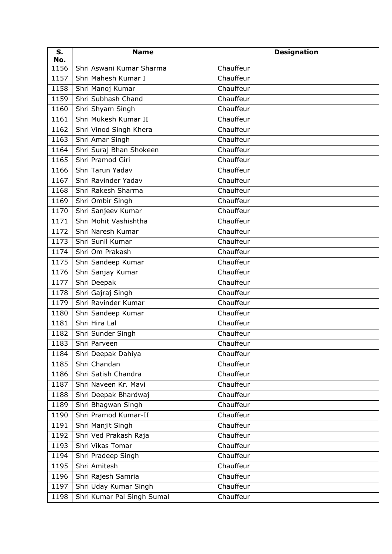| S.<br>No. | <b>Name</b>                | <b>Designation</b> |
|-----------|----------------------------|--------------------|
| 1156      | Shri Aswani Kumar Sharma   | Chauffeur          |
| 1157      | Shri Mahesh Kumar I        | Chauffeur          |
| 1158      | Shri Manoj Kumar           | Chauffeur          |
| 1159      | Shri Subhash Chand         | Chauffeur          |
| 1160      | Shri Shyam Singh           | Chauffeur          |
| 1161      | Shri Mukesh Kumar II       | Chauffeur          |
| 1162      | Shri Vinod Singh Khera     | Chauffeur          |
| 1163      | Shri Amar Singh            | Chauffeur          |
| 1164      | Shri Suraj Bhan Shokeen    | Chauffeur          |
| 1165      | Shri Pramod Giri           | Chauffeur          |
| 1166      | Shri Tarun Yadav           | Chauffeur          |
| 1167      | Shri Ravinder Yadav        | Chauffeur          |
| 1168      | Shri Rakesh Sharma         | Chauffeur          |
| 1169      | Shri Ombir Singh           | Chauffeur          |
| 1170      | Shri Sanjeev Kumar         | Chauffeur          |
| 1171      | Shri Mohit Vashishtha      | Chauffeur          |
| 1172      | Shri Naresh Kumar          | Chauffeur          |
| 1173      | Shri Sunil Kumar           | Chauffeur          |
| 1174      | Shri Om Prakash            | Chauffeur          |
| 1175      | Shri Sandeep Kumar         | Chauffeur          |
| 1176      | Shri Sanjay Kumar          | Chauffeur          |
| 1177      | Shri Deepak                | Chauffeur          |
| 1178      | Shri Gajraj Singh          | Chauffeur          |
| 1179      | Shri Ravinder Kumar        | Chauffeur          |
| 1180      | Shri Sandeep Kumar         | Chauffeur          |
| 1181      | Shri Hira Lal              | Chauffeur          |
| 1182      | Shri Sunder Singh          | Chauffeur          |
| 1183      | Shri Parveen               | Chauffeur          |
| 1184      | Shri Deepak Dahiya         | Chauffeur          |
| 1185      | Shri Chandan               | Chauffeur          |
| 1186      | Shri Satish Chandra        | Chauffeur          |
| 1187      | Shri Naveen Kr. Mavi       | Chauffeur          |
| 1188      | Shri Deepak Bhardwaj       | Chauffeur          |
| 1189      | Shri Bhagwan Singh         | Chauffeur          |
| 1190      | Shri Pramod Kumar-II       | Chauffeur          |
| 1191      | Shri Manjit Singh          | Chauffeur          |
| 1192      | Shri Ved Prakash Raja      | Chauffeur          |
| 1193      | Shri Vikas Tomar           | Chauffeur          |
| 1194      | Shri Pradeep Singh         | Chauffeur          |
| 1195      | Shri Amitesh               | Chauffeur          |
| 1196      | Shri Rajesh Samria         | Chauffeur          |
| 1197      | Shri Uday Kumar Singh      | Chauffeur          |
| 1198      | Shri Kumar Pal Singh Sumal | Chauffeur          |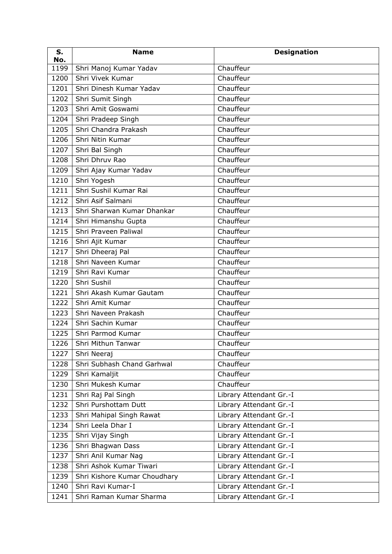| S.<br>No. | <b>Name</b>                  | <b>Designation</b>      |
|-----------|------------------------------|-------------------------|
| 1199      | Shri Manoj Kumar Yadav       | Chauffeur               |
| 1200      | Shri Vivek Kumar             | Chauffeur               |
| 1201      | Shri Dinesh Kumar Yadav      | Chauffeur               |
| 1202      | Shri Sumit Singh             | Chauffeur               |
| 1203      | Shri Amit Goswami            | Chauffeur               |
| 1204      | Shri Pradeep Singh           | Chauffeur               |
| 1205      | Shri Chandra Prakash         | Chauffeur               |
| 1206      | Shri Nitin Kumar             | Chauffeur               |
| 1207      | Shri Bal Singh               | Chauffeur               |
| 1208      | Shri Dhruv Rao               | Chauffeur               |
| 1209      | Shri Ajay Kumar Yadav        | Chauffeur               |
| 1210      | Shri Yogesh                  | Chauffeur               |
| 1211      | Shri Sushil Kumar Rai        | Chauffeur               |
| 1212      | Shri Asif Salmani            | Chauffeur               |
| 1213      | Shri Sharwan Kumar Dhankar   | Chauffeur               |
| 1214      | Shri Himanshu Gupta          | Chauffeur               |
| 1215      | Shri Praveen Paliwal         | Chauffeur               |
| 1216      | Shri Ajit Kumar              | Chauffeur               |
| 1217      | Shri Dheeraj Pal             | Chauffeur               |
| 1218      | Shri Naveen Kumar            | Chauffeur               |
| 1219      | Shri Ravi Kumar              | Chauffeur               |
| 1220      | Shri Sushil                  | Chauffeur               |
| 1221      | Shri Akash Kumar Gautam      | Chauffeur               |
| 1222      | Shri Amit Kumar              | Chauffeur               |
| 1223      | Shri Naveen Prakash          | Chauffeur               |
| 1224      | Shri Sachin Kumar            | Chauffeur               |
| 1225      | Shri Parmod Kumar            | Chauffeur               |
|           | 1226   Shri Mithun Tanwar    | Chauffeur               |
| 1227      | Shri Neeraj                  | Chauffeur               |
| 1228      | Shri Subhash Chand Garhwal   | Chauffeur               |
| 1229      | Shri Kamaljit                | Chauffeur               |
| 1230      | Shri Mukesh Kumar            | Chauffeur               |
| 1231      | Shri Raj Pal Singh           | Library Attendant Gr.-I |
| 1232      | Shri Purshottam Dutt         | Library Attendant Gr.-I |
| 1233      | Shri Mahipal Singh Rawat     | Library Attendant Gr.-I |
| 1234      | Shri Leela Dhar I            | Library Attendant Gr.-I |
| 1235      | Shri Vijay Singh             | Library Attendant Gr.-I |
| 1236      | Shri Bhagwan Dass            | Library Attendant Gr.-I |
| 1237      | Shri Anil Kumar Nag          | Library Attendant Gr.-I |
| 1238      | Shri Ashok Kumar Tiwari      | Library Attendant Gr.-I |
| 1239      | Shri Kishore Kumar Choudhary | Library Attendant Gr.-I |
| 1240      | Shri Ravi Kumar-I            | Library Attendant Gr.-I |
| 1241      | Shri Raman Kumar Sharma      | Library Attendant Gr.-I |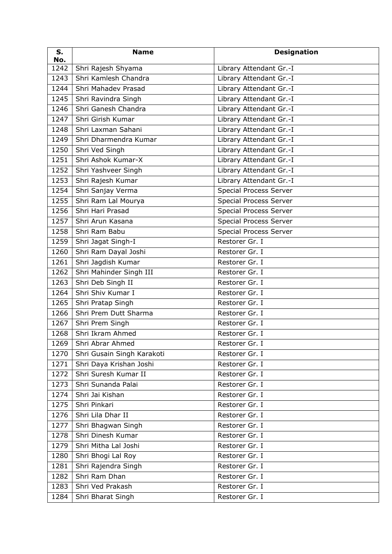| S.<br>No. | <b>Name</b>                | <b>Designation</b>            |
|-----------|----------------------------|-------------------------------|
| 1242      | Shri Rajesh Shyama         | Library Attendant Gr.-I       |
| 1243      | Shri Kamlesh Chandra       | Library Attendant Gr.-I       |
| 1244      | Shri Mahadev Prasad        | Library Attendant Gr.-I       |
| 1245      | Shri Ravindra Singh        | Library Attendant Gr.-I       |
| 1246      | Shri Ganesh Chandra        | Library Attendant Gr.-I       |
| 1247      | Shri Girish Kumar          | Library Attendant Gr.-I       |
| 1248      | Shri Laxman Sahani         | Library Attendant Gr.-I       |
| 1249      | Shri Dharmendra Kumar      | Library Attendant Gr.-I       |
| 1250      | Shri Ved Singh             | Library Attendant Gr.-I       |
| 1251      | Shri Ashok Kumar-X         | Library Attendant Gr.-I       |
| 1252      | Shri Yashveer Singh        | Library Attendant Gr.-I       |
| 1253      | Shri Rajesh Kumar          | Library Attendant Gr.-I       |
| 1254      | Shri Sanjay Verma          | Special Process Server        |
| 1255      | Shri Ram Lal Mourya        | <b>Special Process Server</b> |
| 1256      | Shri Hari Prasad           | <b>Special Process Server</b> |
| 1257      | Shri Arun Kasana           | <b>Special Process Server</b> |
| 1258      | Shri Ram Babu              | <b>Special Process Server</b> |
| 1259      | Shri Jagat Singh-I         | Restorer Gr. I                |
| 1260      | Shri Ram Dayal Joshi       | Restorer Gr. I                |
| 1261      | Shri Jagdish Kumar         | Restorer Gr. I                |
| 1262      | Shri Mahinder Singh III    | Restorer Gr. I                |
| 1263      | Shri Deb Singh II          | Restorer Gr. I                |
| 1264      | Shri Shiv Kumar I          | Restorer Gr. I                |
| 1265      | Shri Pratap Singh          | Restorer Gr. I                |
| 1266      | Shri Prem Dutt Sharma      | Restorer Gr. I                |
| 1267      | Shri Prem Singh            | Restorer Gr. I                |
| 1268      | Shri Ikram Ahmed           | Restorer Gr. I                |
|           | 1269   Shri Abrar Ahmed    | Restorer Gr. I                |
| 1270      | Shri Gusain Singh Karakoti | Restorer Gr. I                |
| 1271      | Shri Daya Krishan Joshi    | Restorer Gr. I                |
| 1272      | Shri Suresh Kumar II       | Restorer Gr. I                |
| 1273      | Shri Sunanda Palai         | Restorer Gr. I                |
| 1274      | Shri Jai Kishan            | Restorer Gr. I                |
| 1275      | Shri Pinkari               | Restorer Gr. I                |
| 1276      | Shri Lila Dhar II          | Restorer Gr. I                |
| 1277      | Shri Bhagwan Singh         | Restorer Gr. I                |
| 1278      | Shri Dinesh Kumar          | Restorer Gr. I                |
| 1279      | Shri Mitha Lal Joshi       | Restorer Gr. I                |
| 1280      | Shri Bhogi Lal Roy         | Restorer Gr. I                |
| 1281      | Shri Rajendra Singh        | Restorer Gr. I                |
| 1282      | Shri Ram Dhan              | Restorer Gr. I                |
| 1283      | Shri Ved Prakash           | Restorer Gr. I                |
| 1284      | Shri Bharat Singh          | Restorer Gr. I                |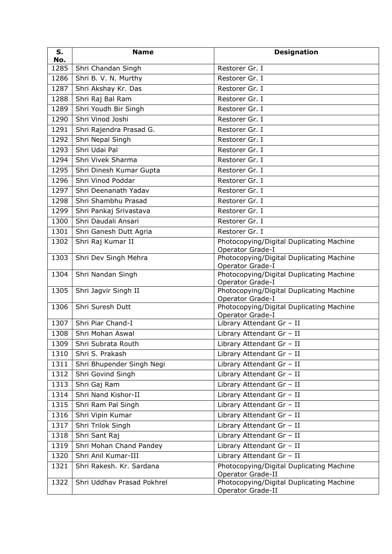| S.<br>No. | <b>Name</b>                | <b>Designation</b>                                                  |
|-----------|----------------------------|---------------------------------------------------------------------|
| 1285      | Shri Chandan Singh         | Restorer Gr. I                                                      |
| 1286      | Shri B. V. N. Murthy       | Restorer Gr. I                                                      |
| 1287      | Shri Akshay Kr. Das        | Restorer Gr. I                                                      |
| 1288      | Shri Raj Bal Ram           | Restorer Gr. I                                                      |
| 1289      | Shri Youdh Bir Singh       | Restorer Gr. I                                                      |
| 1290      | Shri Vinod Joshi           | Restorer Gr. I                                                      |
| 1291      | Shri Rajendra Prasad G.    | Restorer Gr. I                                                      |
| 1292      | Shri Nepal Singh           | Restorer Gr. I                                                      |
| 1293      | Shri Udai Pal              | Restorer Gr. I                                                      |
| 1294      | Shri Vivek Sharma          | Restorer Gr. I                                                      |
| 1295      | Shri Dinesh Kumar Gupta    | Restorer Gr. I                                                      |
| 1296      | Shri Vinod Poddar          | Restorer Gr. I                                                      |
| 1297      | Shri Deenanath Yadav       | Restorer Gr. I                                                      |
| 1298      | Shri Shambhu Prasad        | Restorer Gr. I                                                      |
| 1299      | Shri Pankaj Srivastava     | Restorer Gr. I                                                      |
| 1300      | Shri Daudali Ansari        | Restorer Gr. I                                                      |
| 1301      | Shri Ganesh Dutt Agria     | Restorer Gr. I                                                      |
| 1302      | Shri Raj Kumar II          | Photocopying/Digital Duplicating Machine<br><b>Operator Grade-I</b> |
| 1303      | Shri Dev Singh Mehra       | Photocopying/Digital Duplicating Machine<br>Operator Grade-I        |
| 1304      | Shri Nandan Singh          | Photocopying/Digital Duplicating Machine<br>Operator Grade-I        |
| 1305      | Shri Jagvir Singh II       | Photocopying/Digital Duplicating Machine<br>Operator Grade-I        |
| 1306      | Shri Suresh Dutt           | Photocopying/Digital Duplicating Machine<br>Operator Grade-I        |
| 1307      | Shri Piar Chand-I          | Library Attendant Gr - II                                           |
| 1308      | Shri Mohan Aswal           | Library Attendant Gr - II                                           |
| 1309      | Shri Subrata Routh         | Library Attendant Gr - II                                           |
| 1310      | Shri S. Prakash            | Library Attendant Gr - II                                           |
| 1311      | Shri Bhupender Singh Negi  | Library Attendant Gr - II                                           |
| 1312      | Shri Govind Singh          | Library Attendant Gr - II                                           |
| 1313      | Shri Gaj Ram               | Library Attendant Gr - II                                           |
| 1314      | Shri Nand Kishor-II        | Library Attendant Gr - II                                           |
| 1315      | Shri Ram Pal Singh         | Library Attendant Gr - II                                           |
| 1316      | Shri Vipin Kumar           | Library Attendant Gr - II                                           |
| 1317      | Shri Trilok Singh          | Library Attendant Gr - II                                           |
| 1318      | Shri Sant Raj              | Library Attendant Gr - II                                           |
| 1319      | Shri Mohan Chand Pandey    | Library Attendant Gr - II                                           |
| 1320      | Shri Anil Kumar-III        | Library Attendant Gr - II                                           |
| 1321      | Shri Rakesh. Kr. Sardana   | Photocopying/Digital Duplicating Machine<br>Operator Grade-II       |
| 1322      | Shri Uddhav Prasad Pokhrel | Photocopying/Digital Duplicating Machine<br>Operator Grade-II       |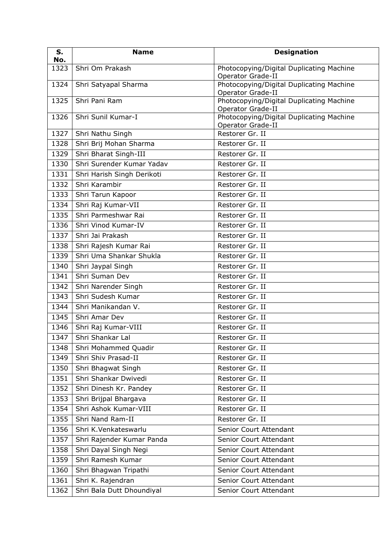| S.<br>No. | <b>Name</b>                | <b>Designation</b>                                                   |
|-----------|----------------------------|----------------------------------------------------------------------|
| 1323      | Shri Om Prakash            | Photocopying/Digital Duplicating Machine<br>Operator Grade-II        |
| 1324      | Shri Satyapal Sharma       | Photocopying/Digital Duplicating Machine<br>Operator Grade-II        |
| 1325      | Shri Pani Ram              | Photocopying/Digital Duplicating Machine<br><b>Operator Grade-II</b> |
| 1326      | Shri Sunil Kumar-I         | Photocopying/Digital Duplicating Machine<br>Operator Grade-II        |
| 1327      | Shri Nathu Singh           | Restorer Gr. II                                                      |
| 1328      | Shri Brij Mohan Sharma     | Restorer Gr. II                                                      |
| 1329      | Shri Bharat Singh-III      | Restorer Gr. II                                                      |
| 1330      | Shri Surender Kumar Yadav  | Restorer Gr. II                                                      |
| 1331      | Shri Harish Singh Derikoti | Restorer Gr. II                                                      |
| 1332      | Shri Karambir              | Restorer Gr. II                                                      |
| 1333      | Shri Tarun Kapoor          | Restorer Gr. II                                                      |
| 1334      | Shri Raj Kumar-VII         | Restorer Gr. II                                                      |
| 1335      | Shri Parmeshwar Rai        | Restorer Gr. II                                                      |
| 1336      | Shri Vinod Kumar-IV        | Restorer Gr. II                                                      |
| 1337      | Shri Jai Prakash           | Restorer Gr. II                                                      |
| 1338      | Shri Rajesh Kumar Rai      | Restorer Gr. II                                                      |
| 1339      | Shri Uma Shankar Shukla    | Restorer Gr. II                                                      |
| 1340      | Shri Jaypal Singh          | Restorer Gr. II                                                      |
| 1341      | Shri Suman Dev             | Restorer Gr. II                                                      |
| 1342      | Shri Narender Singh        | Restorer Gr. II                                                      |
| 1343      | Shri Sudesh Kumar          | Restorer Gr. II                                                      |
| 1344      | Shri Manikandan V.         | Restorer Gr. II                                                      |
| 1345      | Shri Amar Dev              | Restorer Gr. II                                                      |
| 1346      | Shri Raj Kumar-VIII        | Restorer Gr. II                                                      |
| 1347      | Shri Shankar Lal           | Restorer Gr. II                                                      |
| 1348      | Shri Mohammed Quadir       | Restorer Gr. II                                                      |
| 1349      | Shri Shiv Prasad-II        | Restorer Gr. II                                                      |
| 1350      | Shri Bhagwat Singh         | Restorer Gr. II                                                      |
| 1351      | Shri Shankar Dwivedi       | Restorer Gr. II                                                      |
| 1352      | Shri Dinesh Kr. Pandey     | Restorer Gr. II                                                      |
| 1353      | Shri Brijpal Bhargava      | Restorer Gr. II                                                      |
| 1354      | Shri Ashok Kumar-VIII      | Restorer Gr. II                                                      |
| 1355      | Shri Nand Ram-II           | Restorer Gr. II                                                      |
| 1356      | Shri K.Venkateswarlu       | Senior Court Attendant                                               |
| 1357      | Shri Rajender Kumar Panda  | Senior Court Attendant                                               |
| 1358      | Shri Dayal Singh Negi      | Senior Court Attendant                                               |
| 1359      | Shri Ramesh Kumar          | Senior Court Attendant                                               |
| 1360      | Shri Bhagwan Tripathi      | Senior Court Attendant                                               |
| 1361      | Shri K. Rajendran          | Senior Court Attendant                                               |
| 1362      | Shri Bala Dutt Dhoundiyal  | Senior Court Attendant                                               |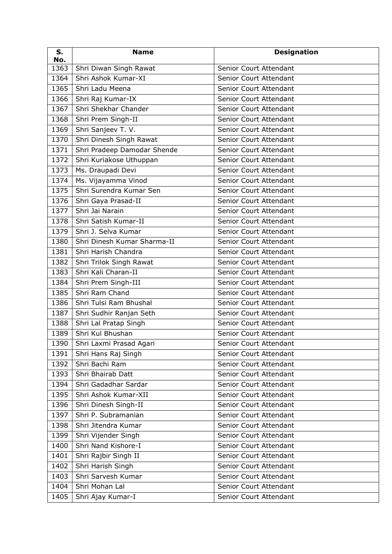| S.<br>No. | <b>Name</b>                 | <b>Designation</b>     |
|-----------|-----------------------------|------------------------|
| 1363      | Shri Diwan Singh Rawat      | Senior Court Attendant |
| 1364      | Shri Ashok Kumar-XI         | Senior Court Attendant |
| 1365      | Shri Ladu Meena             | Senior Court Attendant |
| 1366      | Shri Raj Kumar-IX           | Senior Court Attendant |
| 1367      | Shri Shekhar Chander        | Senior Court Attendant |
| 1368      | Shri Prem Singh-II          | Senior Court Attendant |
| 1369      | Shri Sanjeev T. V.          | Senior Court Attendant |
| 1370      | Shri Dinesh Singh Rawat     | Senior Court Attendant |
| 1371      | Shri Pradeep Damodar Shende | Senior Court Attendant |
| 1372      | Shri Kuriakose Uthuppan     | Senior Court Attendant |
| 1373      | Ms. Draupadi Devi           | Senior Court Attendant |
| 1374      | Ms. Vijayamma Vinod         | Senior Court Attendant |
| 1375      | Shri Surendra Kumar Sen     | Senior Court Attendant |
| 1376      | Shri Gaya Prasad-II         | Senior Court Attendant |
| 1377      | Shri Jai Narain             | Senior Court Attendant |
| 1378      | Shri Satish Kumar-II        | Senior Court Attendant |
| 1379      | Shri J. Selva Kumar         | Senior Court Attendant |
| 1380      | Shri Dinesh Kumar Sharma-II | Senior Court Attendant |
| 1381      | Shri Harish Chandra         | Senior Court Attendant |
| 1382      | Shri Trilok Singh Rawat     | Senior Court Attendant |
| 1383      | Shri Kali Charan-II         | Senior Court Attendant |
| 1384      | Shri Prem Singh-III         | Senior Court Attendant |
| 1385      | Shri Ram Chand              | Senior Court Attendant |
| 1386      | Shri Tulsi Ram Bhushal      | Senior Court Attendant |
| 1387      | Shri Sudhir Ranjan Seth     | Senior Court Attendant |
| 1388      | Shri Lal Pratap Singh       | Senior Court Attendant |
| 1389      | Shri Kul Bhushan            | Senior Court Attendant |
| 1390      | Shri Laxmi Prasad Agari     | Senior Court Attendant |
| 1391      | Shri Hans Raj Singh         | Senior Court Attendant |
| 1392      | Shri Bachi Ram              | Senior Court Attendant |
| 1393      | Shri Bhairab Datt           | Senior Court Attendant |
| 1394      | Shri Gadadhar Sardar        | Senior Court Attendant |
| 1395      | Shri Ashok Kumar-XII        | Senior Court Attendant |
| 1396      | Shri Dinesh Singh-II        | Senior Court Attendant |
| 1397      | Shri P. Subramanian         | Senior Court Attendant |
| 1398      | Shri Jitendra Kumar         | Senior Court Attendant |
| 1399      | Shri Vijender Singh         | Senior Court Attendant |
| 1400      | Shri Nand Kishore-I         | Senior Court Attendant |
| 1401      | Shri Rajbir Singh II        | Senior Court Attendant |
| 1402      | Shri Harish Singh           | Senior Court Attendant |
| 1403      | Shri Sarvesh Kumar          | Senior Court Attendant |
| 1404      | Shri Mohan Lal              | Senior Court Attendant |
| 1405      | Shri Ajay Kumar-I           | Senior Court Attendant |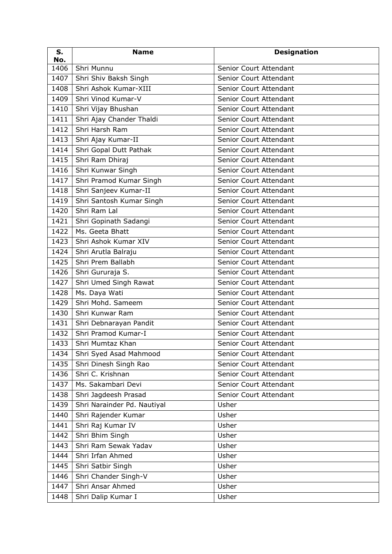| S.<br>No. | <b>Name</b>                 | <b>Designation</b>     |
|-----------|-----------------------------|------------------------|
| 1406      | Shri Munnu                  | Senior Court Attendant |
| 1407      | Shri Shiv Baksh Singh       | Senior Court Attendant |
| 1408      | Shri Ashok Kumar-XIII       | Senior Court Attendant |
| 1409      | Shri Vinod Kumar-V          | Senior Court Attendant |
| 1410      | Shri Vijay Bhushan          | Senior Court Attendant |
| 1411      | Shri Ajay Chander Thaldi    | Senior Court Attendant |
| 1412      | Shri Harsh Ram              | Senior Court Attendant |
| 1413      | Shri Ajay Kumar-II          | Senior Court Attendant |
| 1414      | Shri Gopal Dutt Pathak      | Senior Court Attendant |
| 1415      | Shri Ram Dhiraj             | Senior Court Attendant |
| 1416      | Shri Kunwar Singh           | Senior Court Attendant |
| 1417      | Shri Pramod Kumar Singh     | Senior Court Attendant |
| 1418      | Shri Sanjeev Kumar-II       | Senior Court Attendant |
| 1419      | Shri Santosh Kumar Singh    | Senior Court Attendant |
| 1420      | Shri Ram Lal                | Senior Court Attendant |
| 1421      | Shri Gopinath Sadangi       | Senior Court Attendant |
| 1422      | Ms. Geeta Bhatt             | Senior Court Attendant |
| 1423      | Shri Ashok Kumar XIV        | Senior Court Attendant |
| 1424      | Shri Arutla Balraju         | Senior Court Attendant |
| 1425      | Shri Prem Ballabh           | Senior Court Attendant |
| 1426      | Shri Gururaja S.            | Senior Court Attendant |
| 1427      | Shri Umed Singh Rawat       | Senior Court Attendant |
| 1428      | Ms. Daya Wati               | Senior Court Attendant |
| 1429      | Shri Mohd. Sameem           | Senior Court Attendant |
| 1430      | Shri Kunwar Ram             | Senior Court Attendant |
| 1431      | Shri Debnarayan Pandit      | Senior Court Attendant |
| 1432      | Shri Pramod Kumar-I         | Senior Court Attendant |
| 1433      | Shri Mumtaz Khan            | Senior Court Attendant |
| 1434      | Shri Syed Asad Mahmood      | Senior Court Attendant |
| 1435      | Shri Dinesh Singh Rao       | Senior Court Attendant |
| 1436      | Shri C. Krishnan            | Senior Court Attendant |
| 1437      | Ms. Sakambari Devi          | Senior Court Attendant |
| 1438      | Shri Jagdeesh Prasad        | Senior Court Attendant |
| 1439      | Shri Narainder Pd. Nautiyal | Usher                  |
| 1440      | Shri Rajender Kumar         | Usher                  |
| 1441      | Shri Raj Kumar IV           | Usher                  |
| 1442      | Shri Bhim Singh             | Usher                  |
| 1443      | Shri Ram Sewak Yadav        | Usher                  |
| 1444      | Shri Irfan Ahmed            | Usher                  |
| 1445      | Shri Satbir Singh           | Usher                  |
| 1446      | Shri Chander Singh-V        | Usher                  |
| 1447      | Shri Ansar Ahmed            | Usher                  |
| 1448      | Shri Dalip Kumar I          | Usher                  |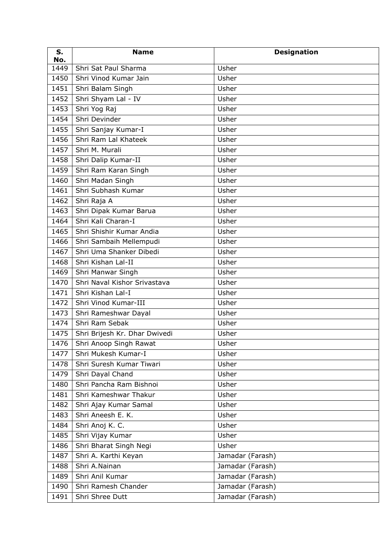| S.<br>No. | <b>Name</b>                              | <b>Designation</b> |
|-----------|------------------------------------------|--------------------|
| 1449      | Shri Sat Paul Sharma                     | Usher              |
| 1450      | Shri Vinod Kumar Jain                    | Usher              |
| 1451      | Shri Balam Singh                         | Usher              |
| 1452      | Shri Shyam Lal - IV                      | Usher              |
| 1453      | Shri Yog Raj                             | Usher              |
| 1454      | Shri Devinder                            | Usher              |
| 1455      | Shri Sanjay Kumar-I                      | Usher              |
| 1456      | Shri Ram Lal Khateek                     | Usher              |
| 1457      | Shri M. Murali                           | Usher              |
| 1458      | Shri Dalip Kumar-II                      | Usher              |
| 1459      | Shri Ram Karan Singh                     | Usher              |
| 1460      | Shri Madan Singh                         | Usher              |
| 1461      | Shri Subhash Kumar                       | Usher              |
| 1462      | Shri Raja A                              | Usher              |
| 1463      | Shri Dipak Kumar Barua                   | Usher              |
| 1464      | Shri Kali Charan-I                       | Usher              |
| 1465      | Shri Shishir Kumar Andia                 | Usher              |
| 1466      | Shri Sambaih Mellempudi                  | Usher              |
| 1467      | Shri Uma Shanker Dibedi                  | Usher              |
| 1468      | Shri Kishan Lal-II                       | Usher              |
| 1469      | Shri Manwar Singh                        | Usher              |
| 1470      | Shri Naval Kishor Srivastava             | Usher              |
| 1471      | Shri Kishan Lal-I                        | Usher              |
| 1472      | Shri Vinod Kumar-III                     | Usher              |
| 1473      | Shri Rameshwar Dayal                     | Usher              |
| 1474      | Shri Ram Sebak                           | Usher              |
| 1475      | Shri Brijesh Kr. Dhar Dwivedi            | Usher              |
|           | $\overline{1476}$ Shri Anoop Singh Rawat | Usher              |
| 1477      | Shri Mukesh Kumar-I                      | Usher              |
| 1478      | Shri Suresh Kumar Tiwari                 | Usher              |
| 1479      | Shri Dayal Chand                         | Usher              |
| 1480      | Shri Pancha Ram Bishnoi                  | Usher              |
| 1481      | Shri Kameshwar Thakur                    | Usher              |
| 1482      | Shri Ajay Kumar Samal                    | Usher              |
| 1483      | Shri Aneesh E. K.                        | Usher              |
| 1484      | Shri Anoj K. C.                          | Usher              |
| 1485      | Shri Vijay Kumar                         | Usher              |
| 1486      | Shri Bharat Singh Negi                   | Usher              |
| 1487      | Shri A. Karthi Keyan                     | Jamadar (Farash)   |
| 1488      | Shri A.Nainan                            | Jamadar (Farash)   |
| 1489      | Shri Anil Kumar                          | Jamadar (Farash)   |
| 1490      | Shri Ramesh Chander                      | Jamadar (Farash)   |
| 1491      | Shri Shree Dutt                          | Jamadar (Farash)   |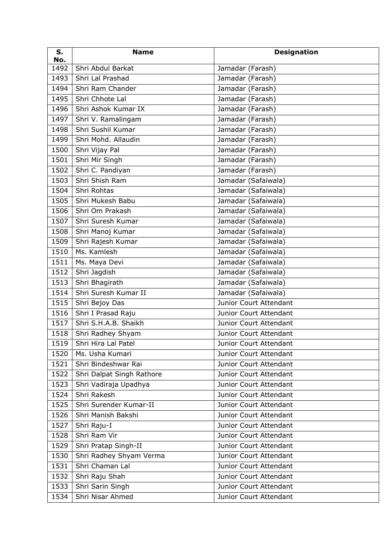| S.<br>No. | <b>Name</b>               | <b>Designation</b>     |
|-----------|---------------------------|------------------------|
| 1492      | Shri Abdul Barkat         | Jamadar (Farash)       |
| 1493      | Shri Lal Prashad          | Jamadar (Farash)       |
| 1494      | Shri Ram Chander          | Jamadar (Farash)       |
| 1495      | Shri Chhote Lal           | Jamadar (Farash)       |
| 1496      | Shri Ashok Kumar IX       | Jamadar (Farash)       |
| 1497      | Shri V. Ramalingam        | Jamadar (Farash)       |
| 1498      | Shri Sushil Kumar         | Jamadar (Farash)       |
| 1499      | Shri Mohd. Allaudin       | Jamadar (Farash)       |
| 1500      | Shri Vijay Pal            | Jamadar (Farash)       |
| 1501      | Shri Mir Singh            | Jamadar (Farash)       |
| 1502      | Shri C. Pandiyan          | Jamadar (Farash)       |
| 1503      | Shri Shish Ram            | Jamadar (Safaiwala)    |
| 1504      | Shri Rohtas               | Jamadar (Safaiwala)    |
| 1505      | Shri Mukesh Babu          | Jamadar (Safaiwala)    |
| 1506      | Shri Om Prakash           | Jamadar (Safaiwala)    |
| 1507      | Shri Suresh Kumar         | Jamadar (Safaiwala)    |
| 1508      | Shri Manoj Kumar          | Jamadar (Safaiwala)    |
| 1509      | Shri Rajesh Kumar         | Jamadar (Safaiwala)    |
| 1510      | Ms. Kamlesh               | Jamadar (Safaiwala)    |
| 1511      | Ms. Maya Devi             | Jamadar (Safaiwala)    |
| 1512      | Shri Jagdish              | Jamadar (Safaiwala)    |
| 1513      | Shri Bhagirath            | Jamadar (Safaiwala)    |
| 1514      | Shri Suresh Kumar II      | Jamadar (Safaiwala)    |
| 1515      | Shri Bejoy Das            | Junior Court Attendant |
| 1516      | Shri I Prasad Raju        | Junior Court Attendant |
| 1517      | Shri S.H.A.B. Shaikh      | Junior Court Attendant |
| 1518      | Shri Radhey Shyam         | Junior Court Attendant |
|           | 1519 Shri Hira Lal Patel  | Junior Court Attendant |
| 1520      | Ms. Usha Kumari           | Junior Court Attendant |
| 1521      | Shri Bindeshwar Rai       | Junior Court Attendant |
| 1522      | Shri Dalpat Singh Rathore | Junior Court Attendant |
| 1523      | Shri Vadiraja Upadhya     | Junior Court Attendant |
| 1524      | Shri Rakesh               | Junior Court Attendant |
| 1525      | Shri Surender Kumar-II    | Junior Court Attendant |
| 1526      | Shri Manish Bakshi        | Junior Court Attendant |
| 1527      | Shri Raju-I               | Junior Court Attendant |
| 1528      | Shri Ram Vir              | Junior Court Attendant |
| 1529      | Shri Pratap Singh-II      | Junior Court Attendant |
| 1530      | Shri Radhey Shyam Verma   | Junior Court Attendant |
| 1531      | Shri Chaman Lal           | Junior Court Attendant |
| 1532      | Shri Raju Shah            | Junior Court Attendant |
| 1533      | Shri Sarin Singh          | Junior Court Attendant |
| 1534      | Shri Nisar Ahmed          | Junior Court Attendant |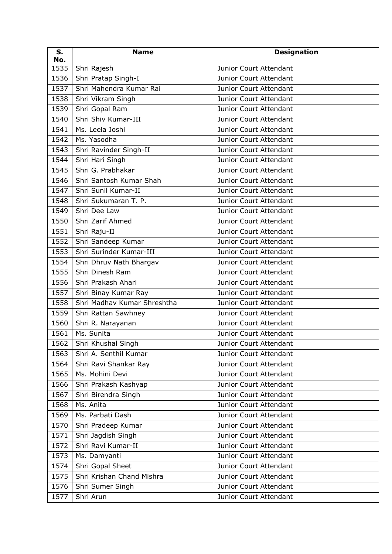| S.<br>No. | <b>Name</b>                 | <b>Designation</b>     |
|-----------|-----------------------------|------------------------|
| 1535      | Shri Rajesh                 | Junior Court Attendant |
| 1536      | Shri Pratap Singh-I         | Junior Court Attendant |
| 1537      | Shri Mahendra Kumar Rai     | Junior Court Attendant |
| 1538      | Shri Vikram Singh           | Junior Court Attendant |
| 1539      | Shri Gopal Ram              | Junior Court Attendant |
| 1540      | Shri Shiv Kumar-III         | Junior Court Attendant |
| 1541      | Ms. Leela Joshi             | Junior Court Attendant |
| 1542      | Ms. Yasodha                 | Junior Court Attendant |
| 1543      | Shri Ravinder Singh-II      | Junior Court Attendant |
| 1544      | Shri Hari Singh             | Junior Court Attendant |
| 1545      | Shri G. Prabhakar           | Junior Court Attendant |
| 1546      | Shri Santosh Kumar Shah     | Junior Court Attendant |
| 1547      | Shri Sunil Kumar-II         | Junior Court Attendant |
| 1548      | Shri Sukumaran T. P.        | Junior Court Attendant |
| 1549      | Shri Dee Law                | Junior Court Attendant |
| 1550      | Shri Zarif Ahmed            | Junior Court Attendant |
| 1551      | Shri Raju-II                | Junior Court Attendant |
| 1552      | Shri Sandeep Kumar          | Junior Court Attendant |
| 1553      | Shri Surinder Kumar-III     | Junior Court Attendant |
| 1554      | Shri Dhruv Nath Bhargav     | Junior Court Attendant |
| 1555      | Shri Dinesh Ram             | Junior Court Attendant |
| 1556      | Shri Prakash Ahari          | Junior Court Attendant |
| 1557      | Shri Binay Kumar Ray        | Junior Court Attendant |
| 1558      | Shri Madhav Kumar Shreshtha | Junior Court Attendant |
| 1559      | Shri Rattan Sawhney         | Junior Court Attendant |
| 1560      | Shri R. Narayanan           | Junior Court Attendant |
| 1561      | Ms. Sunita                  | Junior Court Attendant |
| 1562      | Shri Khushal Singh          | Junior Court Attendant |
| 1563      | Shri A. Senthil Kumar       | Junior Court Attendant |
| 1564      | Shri Ravi Shankar Ray       | Junior Court Attendant |
| 1565      | Ms. Mohini Devi             | Junior Court Attendant |
| 1566      | Shri Prakash Kashyap        | Junior Court Attendant |
| 1567      | Shri Birendra Singh         | Junior Court Attendant |
| 1568      | Ms. Anita                   | Junior Court Attendant |
| 1569      | Ms. Parbati Dash            | Junior Court Attendant |
| 1570      | Shri Pradeep Kumar          | Junior Court Attendant |
| 1571      | Shri Jagdish Singh          | Junior Court Attendant |
| 1572      | Shri Ravi Kumar-II          | Junior Court Attendant |
| 1573      | Ms. Damyanti                | Junior Court Attendant |
| 1574      | Shri Gopal Sheet            | Junior Court Attendant |
| 1575      | Shri Krishan Chand Mishra   | Junior Court Attendant |
| 1576      | Shri Sumer Singh            | Junior Court Attendant |
| 1577      | Shri Arun                   | Junior Court Attendant |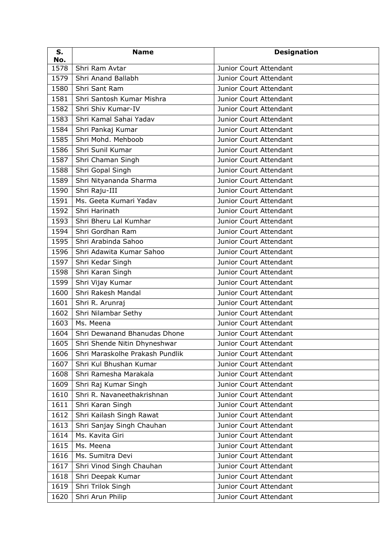| S.<br>No. | <b>Name</b>                       | <b>Designation</b>     |
|-----------|-----------------------------------|------------------------|
| 1578      | Shri Ram Avtar                    | Junior Court Attendant |
| 1579      | Shri Anand Ballabh                | Junior Court Attendant |
| 1580      | Shri Sant Ram                     | Junior Court Attendant |
| 1581      | Shri Santosh Kumar Mishra         | Junior Court Attendant |
| 1582      | Shri Shiv Kumar-IV                | Junior Court Attendant |
| 1583      | Shri Kamal Sahai Yadav            | Junior Court Attendant |
| 1584      | Shri Pankaj Kumar                 | Junior Court Attendant |
| 1585      | Shri Mohd. Mehboob                | Junior Court Attendant |
| 1586      | Shri Sunil Kumar                  | Junior Court Attendant |
| 1587      | Shri Chaman Singh                 | Junior Court Attendant |
| 1588      | Shri Gopal Singh                  | Junior Court Attendant |
| 1589      | Shri Nityananda Sharma            | Junior Court Attendant |
| 1590      | Shri Raju-III                     | Junior Court Attendant |
| 1591      | Ms. Geeta Kumari Yadav            | Junior Court Attendant |
| 1592      | Shri Harinath                     | Junior Court Attendant |
| 1593      | Shri Bheru Lal Kumhar             | Junior Court Attendant |
| 1594      | Shri Gordhan Ram                  | Junior Court Attendant |
| 1595      | Shri Arabinda Sahoo               | Junior Court Attendant |
| 1596      | Shri Adawita Kumar Sahoo          | Junior Court Attendant |
| 1597      | Shri Kedar Singh                  | Junior Court Attendant |
| 1598      | Shri Karan Singh                  | Junior Court Attendant |
| 1599      | Shri Vijay Kumar                  | Junior Court Attendant |
| 1600      | Shri Rakesh Mandal                | Junior Court Attendant |
| 1601      | Shri R. Arunraj                   | Junior Court Attendant |
| 1602      | Shri Nilambar Sethy               | Junior Court Attendant |
| 1603      | $Ms.$ Meena                       | Junior Court Attendant |
| 1604      | Shri Dewanand Bhanudas Dhone      | Junior Court Attendant |
|           | 1605 Shri Shende Nitin Dhyneshwar | Junior Court Attendant |
| 1606      | Shri Maraskolhe Prakash Pundlik   | Junior Court Attendant |
| 1607      | Shri Kul Bhushan Kumar            | Junior Court Attendant |
| 1608      | Shri Ramesha Marakala             | Junior Court Attendant |
| 1609      | Shri Raj Kumar Singh              | Junior Court Attendant |
| 1610      | Shri R. Navaneethakrishnan        | Junior Court Attendant |
| 1611      | Shri Karan Singh                  | Junior Court Attendant |
| 1612      | Shri Kailash Singh Rawat          | Junior Court Attendant |
| 1613      | Shri Sanjay Singh Chauhan         | Junior Court Attendant |
| 1614      | Ms. Kavita Giri                   | Junior Court Attendant |
| 1615      | Ms. Meena                         | Junior Court Attendant |
| 1616      | Ms. Sumitra Devi                  | Junior Court Attendant |
| 1617      | Shri Vinod Singh Chauhan          | Junior Court Attendant |
| 1618      | Shri Deepak Kumar                 | Junior Court Attendant |
| 1619      | Shri Trilok Singh                 | Junior Court Attendant |
| 1620      | Shri Arun Philip                  | Junior Court Attendant |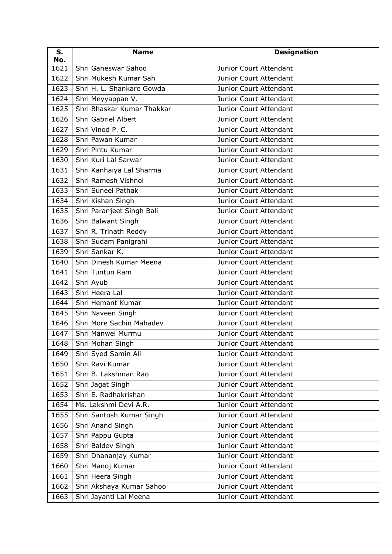| S.<br>No. | <b>Name</b>                | <b>Designation</b>     |
|-----------|----------------------------|------------------------|
| 1621      | Shri Ganeswar Sahoo        | Junior Court Attendant |
| 1622      | Shri Mukesh Kumar Sah      | Junior Court Attendant |
| 1623      | Shri H. L. Shankare Gowda  | Junior Court Attendant |
| 1624      | Shri Meyyappan V.          | Junior Court Attendant |
| 1625      | Shri Bhaskar Kumar Thakkar | Junior Court Attendant |
| 1626      | Shri Gabriel Albert        | Junior Court Attendant |
| 1627      | Shri Vinod P. C.           | Junior Court Attendant |
| 1628      | Shri Pawan Kumar           | Junior Court Attendant |
| 1629      | Shri Pintu Kumar           | Junior Court Attendant |
| 1630      | Shri Kuri Lal Sarwar       | Junior Court Attendant |
| 1631      | Shri Kanhaiya Lal Sharma   | Junior Court Attendant |
| 1632      | Shri Ramesh Vishnoi        | Junior Court Attendant |
| 1633      | Shri Suneel Pathak         | Junior Court Attendant |
| 1634      | Shri Kishan Singh          | Junior Court Attendant |
| 1635      | Shri Paranjeet Singh Bali  | Junior Court Attendant |
| 1636      | Shri Balwant Singh         | Junior Court Attendant |
| 1637      | Shri R. Trinath Reddy      | Junior Court Attendant |
| 1638      | Shri Sudam Panigrahi       | Junior Court Attendant |
| 1639      | Shri Sankar K.             | Junior Court Attendant |
| 1640      | Shri Dinesh Kumar Meena    | Junior Court Attendant |
| 1641      | Shri Tuntun Ram            | Junior Court Attendant |
| 1642      | Shri Ayub                  | Junior Court Attendant |
| 1643      | Shri Heera Lal             | Junior Court Attendant |
| 1644      | Shri Hemant Kumar          | Junior Court Attendant |
| 1645      | Shri Naveen Singh          | Junior Court Attendant |
| 1646      | Shri More Sachin Mahadev   | Junior Court Attendant |
| 1647      | Shri Manwel Murmu          | Junior Court Attendant |
|           | 1648   Shri Mohan Singh    | Junior Court Attendant |
| 1649      | Shri Syed Samin Ali        | Junior Court Attendant |
| 1650      | Shri Ravi Kumar            | Junior Court Attendant |
| 1651      | Shri B. Lakshman Rao       | Junior Court Attendant |
| 1652      | Shri Jagat Singh           | Junior Court Attendant |
| 1653      | Shri E. Radhakrishan       | Junior Court Attendant |
| 1654      | Ms. Lakshmi Devi A.R.      | Junior Court Attendant |
| 1655      | Shri Santosh Kumar Singh   | Junior Court Attendant |
| 1656      | Shri Anand Singh           | Junior Court Attendant |
| 1657      | Shri Pappu Gupta           | Junior Court Attendant |
| 1658      | Shri Baldev Singh          | Junior Court Attendant |
| 1659      | Shri Dhananjay Kumar       | Junior Court Attendant |
| 1660      | Shri Manoj Kumar           | Junior Court Attendant |
| 1661      | Shri Heera Singh           | Junior Court Attendant |
| 1662      | Shri Akshaya Kumar Sahoo   | Junior Court Attendant |
| 1663      | Shri Jayanti Lal Meena     | Junior Court Attendant |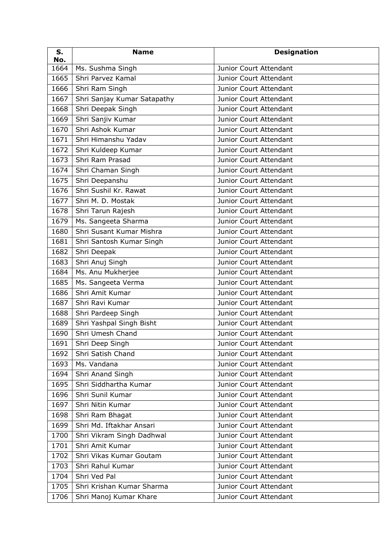| S.<br>No. | <b>Name</b>                 | <b>Designation</b>            |
|-----------|-----------------------------|-------------------------------|
| 1664      | Ms. Sushma Singh            | Junior Court Attendant        |
| 1665      | Shri Parvez Kamal           | Junior Court Attendant        |
| 1666      | Shri Ram Singh              | Junior Court Attendant        |
| 1667      | Shri Sanjay Kumar Satapathy | Junior Court Attendant        |
| 1668      | Shri Deepak Singh           | Junior Court Attendant        |
| 1669      | Shri Sanjiv Kumar           | Junior Court Attendant        |
| 1670      | Shri Ashok Kumar            | Junior Court Attendant        |
| 1671      | Shri Himanshu Yadav         | <b>Junior Court Attendant</b> |
| 1672      | Shri Kuldeep Kumar          | Junior Court Attendant        |
| 1673      | Shri Ram Prasad             | Junior Court Attendant        |
| 1674      | Shri Chaman Singh           | Junior Court Attendant        |
| 1675      | Shri Deepanshu              | Junior Court Attendant        |
| 1676      | Shri Sushil Kr. Rawat       | Junior Court Attendant        |
| 1677      | Shri M. D. Mostak           | Junior Court Attendant        |
| 1678      | Shri Tarun Rajesh           | Junior Court Attendant        |
| 1679      | Ms. Sangeeta Sharma         | Junior Court Attendant        |
| 1680      | Shri Susant Kumar Mishra    | Junior Court Attendant        |
| 1681      | Shri Santosh Kumar Singh    | Junior Court Attendant        |
| 1682      | Shri Deepak                 | Junior Court Attendant        |
| 1683      | Shri Anuj Singh             | Junior Court Attendant        |
| 1684      | Ms. Anu Mukherjee           | Junior Court Attendant        |
| 1685      | Ms. Sangeeta Verma          | Junior Court Attendant        |
| 1686      | Shri Amit Kumar             | Junior Court Attendant        |
| 1687      | Shri Ravi Kumar             | Junior Court Attendant        |
| 1688      | Shri Pardeep Singh          | Junior Court Attendant        |
| 1689      | Shri Yashpal Singh Bisht    | Junior Court Attendant        |
| 1690      | Shri Umesh Chand            | Junior Court Attendant        |
| 1691      | Shri Deep Singh             | Junior Court Attendant        |
| 1692      | Shri Satish Chand           | Junior Court Attendant        |
| 1693      | Ms. Vandana                 | Junior Court Attendant        |
| 1694      | Shri Anand Singh            | Junior Court Attendant        |
| 1695      | Shri Siddhartha Kumar       | Junior Court Attendant        |
| 1696      | Shri Sunil Kumar            | Junior Court Attendant        |
| 1697      | Shri Nitin Kumar            | Junior Court Attendant        |
| 1698      | Shri Ram Bhagat             | Junior Court Attendant        |
| 1699      | Shri Md. Iftakhar Ansari    | Junior Court Attendant        |
| 1700      | Shri Vikram Singh Dadhwal   | Junior Court Attendant        |
| 1701      | Shri Amit Kumar             | Junior Court Attendant        |
| 1702      | Shri Vikas Kumar Goutam     | Junior Court Attendant        |
| 1703      | Shri Rahul Kumar            | Junior Court Attendant        |
| 1704      | Shri Ved Pal                | Junior Court Attendant        |
| 1705      | Shri Krishan Kumar Sharma   | Junior Court Attendant        |
| 1706      | Shri Manoj Kumar Khare      | Junior Court Attendant        |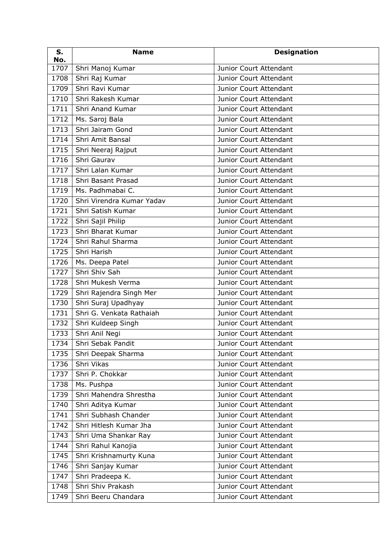| S.<br>No. | <b>Name</b>               | <b>Designation</b>     |
|-----------|---------------------------|------------------------|
| 1707      | Shri Manoj Kumar          | Junior Court Attendant |
| 1708      | Shri Raj Kumar            | Junior Court Attendant |
| 1709      | Shri Ravi Kumar           | Junior Court Attendant |
| 1710      | Shri Rakesh Kumar         | Junior Court Attendant |
| 1711      | Shri Anand Kumar          | Junior Court Attendant |
| 1712      | Ms. Saroj Bala            | Junior Court Attendant |
| 1713      | Shri Jairam Gond          | Junior Court Attendant |
| 1714      | Shri Amit Bansal          | Junior Court Attendant |
| 1715      | Shri Neeraj Rajput        | Junior Court Attendant |
| 1716      | Shri Gaurav               | Junior Court Attendant |
| 1717      | Shri Lalan Kumar          | Junior Court Attendant |
| 1718      | Shri Basant Prasad        | Junior Court Attendant |
| 1719      | Ms. Padhmabai C.          | Junior Court Attendant |
| 1720      | Shri Virendra Kumar Yadav | Junior Court Attendant |
| 1721      | Shri Satish Kumar         | Junior Court Attendant |
| 1722      | Shri Sajil Philip         | Junior Court Attendant |
| 1723      | Shri Bharat Kumar         | Junior Court Attendant |
| 1724      | Shri Rahul Sharma         | Junior Court Attendant |
| 1725      | Shri Harish               | Junior Court Attendant |
| 1726      | Ms. Deepa Patel           | Junior Court Attendant |
| 1727      | Shri Shiv Sah             | Junior Court Attendant |
| 1728      | Shri Mukesh Verma         | Junior Court Attendant |
| 1729      | Shri Rajendra Singh Mer   | Junior Court Attendant |
| 1730      | Shri Suraj Upadhyay       | Junior Court Attendant |
| 1731      | Shri G. Venkata Rathaiah  | Junior Court Attendant |
| 1732      | Shri Kuldeep Singh        | Junior Court Attendant |
| 1733      | Shri Anil Negi            | Junior Court Attendant |
|           | 1734   Shri Sebak Pandit  | Junior Court Attendant |
| 1735      | Shri Deepak Sharma        | Junior Court Attendant |
| 1736      | Shri Vikas                | Junior Court Attendant |
| 1737      | Shri P. Chokkar           | Junior Court Attendant |
| 1738      | Ms. Pushpa                | Junior Court Attendant |
| 1739      | Shri Mahendra Shrestha    | Junior Court Attendant |
| 1740      | Shri Aditya Kumar         | Junior Court Attendant |
| 1741      | Shri Subhash Chander      | Junior Court Attendant |
| 1742      | Shri Hitlesh Kumar Jha    | Junior Court Attendant |
| 1743      | Shri Uma Shankar Ray      | Junior Court Attendant |
| 1744      | Shri Rahul Kanojia        | Junior Court Attendant |
| 1745      | Shri Krishnamurty Kuna    | Junior Court Attendant |
| 1746      | Shri Sanjay Kumar         | Junior Court Attendant |
| 1747      | Shri Pradeepa K.          | Junior Court Attendant |
| 1748      | Shri Shiv Prakash         | Junior Court Attendant |
| 1749      | Shri Beeru Chandara       | Junior Court Attendant |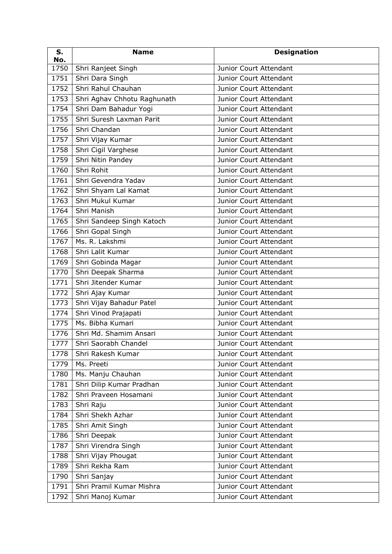| S.<br>No. | <b>Name</b>                 | <b>Designation</b>     |
|-----------|-----------------------------|------------------------|
| 1750      | Shri Ranjeet Singh          | Junior Court Attendant |
| 1751      | Shri Dara Singh             | Junior Court Attendant |
| 1752      | Shri Rahul Chauhan          | Junior Court Attendant |
| 1753      | Shri Aghav Chhotu Raghunath | Junior Court Attendant |
| 1754      | Shri Dam Bahadur Yogi       | Junior Court Attendant |
| 1755      | Shri Suresh Laxman Parit    | Junior Court Attendant |
| 1756      | Shri Chandan                | Junior Court Attendant |
| 1757      | Shri Vijay Kumar            | Junior Court Attendant |
| 1758      | Shri Cigil Varghese         | Junior Court Attendant |
| 1759      | Shri Nitin Pandey           | Junior Court Attendant |
| 1760      | Shri Rohit                  | Junior Court Attendant |
| 1761      | Shri Gevendra Yadav         | Junior Court Attendant |
| 1762      | Shri Shyam Lal Kamat        | Junior Court Attendant |
| 1763      | Shri Mukul Kumar            | Junior Court Attendant |
| 1764      | Shri Manish                 | Junior Court Attendant |
| 1765      | Shri Sandeep Singh Katoch   | Junior Court Attendant |
| 1766      | Shri Gopal Singh            | Junior Court Attendant |
| 1767      | Ms. R. Lakshmi              | Junior Court Attendant |
| 1768      | Shri Lalit Kumar            | Junior Court Attendant |
| 1769      | Shri Gobinda Magar          | Junior Court Attendant |
| 1770      | Shri Deepak Sharma          | Junior Court Attendant |
| 1771      | Shri Jitender Kumar         | Junior Court Attendant |
| 1772      | Shri Ajay Kumar             | Junior Court Attendant |
| 1773      | Shri Vijay Bahadur Patel    | Junior Court Attendant |
| 1774      | Shri Vinod Prajapati        | Junior Court Attendant |
| 1775      | Ms. Bibha Kumari            | Junior Court Attendant |
| 1776      | Shri Md. Shamim Ansari      | Junior Court Attendant |
|           | 1777 Shri Saorabh Chandel   | Junior Court Attendant |
| 1778      | Shri Rakesh Kumar           | Junior Court Attendant |
| 1779      | Ms. Preeti                  | Junior Court Attendant |
| 1780      | Ms. Manju Chauhan           | Junior Court Attendant |
| 1781      | Shri Dilip Kumar Pradhan    | Junior Court Attendant |
| 1782      | Shri Praveen Hosamani       | Junior Court Attendant |
| 1783      | Shri Raju                   | Junior Court Attendant |
| 1784      | Shri Shekh Azhar            | Junior Court Attendant |
| 1785      | Shri Amit Singh             | Junior Court Attendant |
| 1786      | Shri Deepak                 | Junior Court Attendant |
| 1787      | Shri Virendra Singh         | Junior Court Attendant |
| 1788      | Shri Vijay Phougat          | Junior Court Attendant |
| 1789      | Shri Rekha Ram              | Junior Court Attendant |
| 1790      | Shri Sanjay                 | Junior Court Attendant |
| 1791      | Shri Pramil Kumar Mishra    | Junior Court Attendant |
| 1792      | Shri Manoj Kumar            | Junior Court Attendant |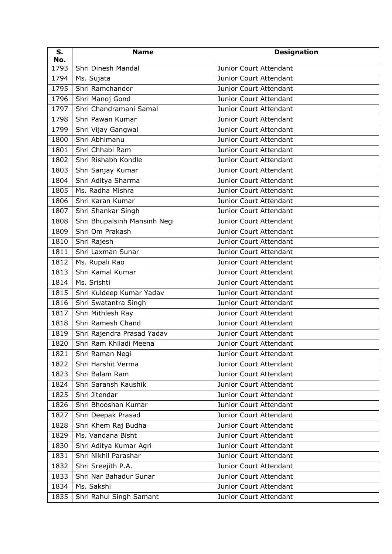| S.<br>No. | <b>Name</b>                  | <b>Designation</b>     |
|-----------|------------------------------|------------------------|
| 1793      | Shri Dinesh Mandal           | Junior Court Attendant |
| 1794      | Ms. Sujata                   | Junior Court Attendant |
| 1795      | Shri Ramchander              | Junior Court Attendant |
| 1796      | Shri Manoj Gond              | Junior Court Attendant |
| 1797      | Shri Chandramani Samal       | Junior Court Attendant |
| 1798      | Shri Pawan Kumar             | Junior Court Attendant |
| 1799      | Shri Vijay Gangwal           | Junior Court Attendant |
| 1800      | Shri Abhimanu                | Junior Court Attendant |
| 1801      | Shri Chhabi Ram              | Junior Court Attendant |
| 1802      | Shri Rishabh Kondle          | Junior Court Attendant |
| 1803      | Shri Sanjay Kumar            | Junior Court Attendant |
| 1804      | Shri Aditya Sharma           | Junior Court Attendant |
| 1805      | Ms. Radha Mishra             | Junior Court Attendant |
| 1806      | Shri Karan Kumar             | Junior Court Attendant |
| 1807      | Shri Shankar Singh           | Junior Court Attendant |
| 1808      | Shri Bhupalsinh Mansinh Negi | Junior Court Attendant |
| 1809      | Shri Om Prakash              | Junior Court Attendant |
| 1810      | Shri Rajesh                  | Junior Court Attendant |
| 1811      | Shri Laxman Sunar            | Junior Court Attendant |
| 1812      | Ms. Rupali Rao               | Junior Court Attendant |
| 1813      | Shri Kamal Kumar             | Junior Court Attendant |
| 1814      | Ms. Srishti                  | Junior Court Attendant |
| 1815      | Shri Kuldeep Kumar Yadav     | Junior Court Attendant |
| 1816      | Shri Swatantra Singh         | Junior Court Attendant |
| 1817      | Shri Mithlesh Ray            | Junior Court Attendant |
| 1818      | Shri Ramesh Chand            | Junior Court Attendant |
| 1819      | Shri Rajendra Prasad Yadav   | Junior Court Attendant |
|           | 1820 Shri Ram Khiladi Meena  | Junior Court Attendant |
| 1821      | Shri Raman Negi              | Junior Court Attendant |
| 1822      | Shri Harshit Verma           | Junior Court Attendant |
| 1823      | Shri Balam Ram               | Junior Court Attendant |
| 1824      | Shri Saransh Kaushik         | Junior Court Attendant |
| 1825      | Shri Jitendar                | Junior Court Attendant |
| 1826      | Shri Bhooshan Kumar          | Junior Court Attendant |
| 1827      | Shri Deepak Prasad           | Junior Court Attendant |
| 1828      | Shri Khem Raj Budha          | Junior Court Attendant |
| 1829      | Ms. Vandana Bisht            | Junior Court Attendant |
| 1830      | Shri Aditya Kumar Agri       | Junior Court Attendant |
| 1831      | Shri Nikhil Parashar         | Junior Court Attendant |
| 1832      | Shri Sreejith P.A.           | Junior Court Attendant |
| 1833      | Shri Nar Bahadur Sunar       | Junior Court Attendant |
| 1834      | Ms. Sakshi                   | Junior Court Attendant |
| 1835      | Shri Rahul Singh Samant      | Junior Court Attendant |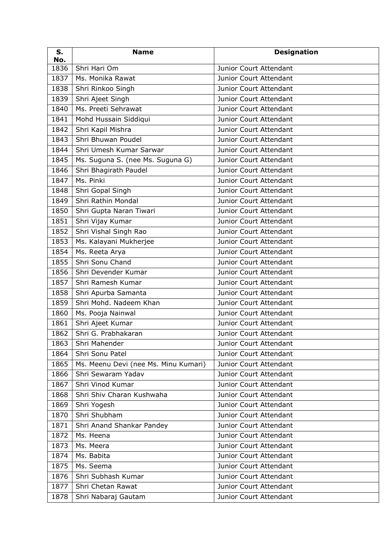| S.<br>No. | <b>Name</b>                          | <b>Designation</b>            |
|-----------|--------------------------------------|-------------------------------|
| 1836      | Shri Hari Om                         | Junior Court Attendant        |
| 1837      | Ms. Monika Rawat                     | Junior Court Attendant        |
| 1838      | Shri Rinkoo Singh                    | Junior Court Attendant        |
| 1839      | Shri Ajeet Singh                     | Junior Court Attendant        |
| 1840      | Ms. Preeti Sehrawat                  | Junior Court Attendant        |
| 1841      | Mohd Hussain Siddiqui                | Junior Court Attendant        |
| 1842      | Shri Kapil Mishra                    | Junior Court Attendant        |
| 1843      | Shri Bhuwan Poudel                   | <b>Junior Court Attendant</b> |
| 1844      | Shri Umesh Kumar Sarwar              | Junior Court Attendant        |
| 1845      | Ms. Suguna S. (nee Ms. Suguna G)     | Junior Court Attendant        |
| 1846      | Shri Bhagirath Paudel                | Junior Court Attendant        |
| 1847      | Ms. Pinki                            | Junior Court Attendant        |
| 1848      | Shri Gopal Singh                     | Junior Court Attendant        |
| 1849      | Shri Rathin Mondal                   | Junior Court Attendant        |
| 1850      | Shri Gupta Naran Tiwari              | Junior Court Attendant        |
| 1851      | Shri Vijay Kumar                     | Junior Court Attendant        |
| 1852      | Shri Vishal Singh Rao                | Junior Court Attendant        |
| 1853      | Ms. Kalayani Mukherjee               | Junior Court Attendant        |
| 1854      | Ms. Reeta Arya                       | Junior Court Attendant        |
| 1855      | Shri Sonu Chand                      | Junior Court Attendant        |
| 1856      | Shri Devender Kumar                  | Junior Court Attendant        |
| 1857      | Shri Ramesh Kumar                    | Junior Court Attendant        |
| 1858      | Shri Apurba Samanta                  | Junior Court Attendant        |
| 1859      | Shri Mohd. Nadeem Khan               | Junior Court Attendant        |
| 1860      | Ms. Pooja Nainwal                    | Junior Court Attendant        |
| 1861      | Shri Ajeet Kumar                     | Junior Court Attendant        |
| 1862      | Shri G. Prabhakaran                  | Junior Court Attendant        |
| 1863      | Shri Mahender                        | Junior Court Attendant        |
| 1864      | Shri Sonu Patel                      | Junior Court Attendant        |
| 1865      | Ms. Meenu Devi (nee Ms. Minu Kumari) | Junior Court Attendant        |
| 1866      | Shri Sewaram Yadav                   | Junior Court Attendant        |
| 1867      | Shri Vinod Kumar                     | Junior Court Attendant        |
| 1868      | Shri Shiv Charan Kushwaha            | Junior Court Attendant        |
| 1869      | Shri Yogesh                          | Junior Court Attendant        |
| 1870      | Shri Shubham                         | Junior Court Attendant        |
| 1871      | Shri Anand Shankar Pandey            | Junior Court Attendant        |
| 1872      | Ms. Heena                            | Junior Court Attendant        |
| 1873      | Ms. Meera                            | Junior Court Attendant        |
| 1874      | Ms. Babita                           | Junior Court Attendant        |
| 1875      | Ms. Seema                            | Junior Court Attendant        |
| 1876      | Shri Subhash Kumar                   | Junior Court Attendant        |
| 1877      | Shri Chetan Rawat                    | Junior Court Attendant        |
| 1878      | Shri Nabaraj Gautam                  | Junior Court Attendant        |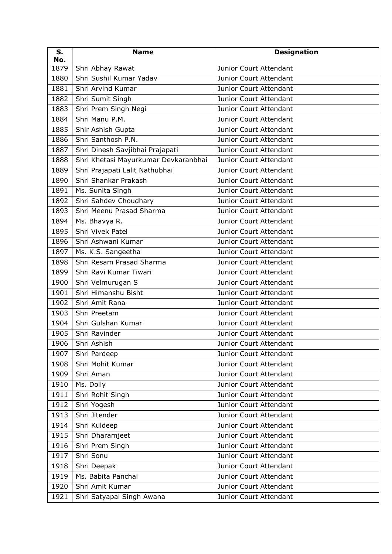| S.<br>No. | <b>Name</b>                          | <b>Designation</b>            |
|-----------|--------------------------------------|-------------------------------|
| 1879      | Shri Abhay Rawat                     | Junior Court Attendant        |
| 1880      | Shri Sushil Kumar Yadav              | Junior Court Attendant        |
| 1881      | Shri Arvind Kumar                    | Junior Court Attendant        |
| 1882      | Shri Sumit Singh                     | Junior Court Attendant        |
| 1883      | Shri Prem Singh Negi                 | Junior Court Attendant        |
| 1884      | Shri Manu P.M.                       | Junior Court Attendant        |
| 1885      | Shir Ashish Gupta                    | Junior Court Attendant        |
| 1886      | Shri Santhosh P.N.                   | Junior Court Attendant        |
| 1887      | Shri Dinesh Savjibhai Prajapati      | Junior Court Attendant        |
| 1888      | Shri Khetasi Mayurkumar Devkaranbhai | Junior Court Attendant        |
| 1889      | Shri Prajapati Lalit Nathubhai       | Junior Court Attendant        |
| 1890      | Shri Shankar Prakash                 | Junior Court Attendant        |
| 1891      | Ms. Sunita Singh                     | Junior Court Attendant        |
| 1892      | Shri Sahdev Choudhary                | Junior Court Attendant        |
| 1893      | Shri Meenu Prasad Sharma             | Junior Court Attendant        |
| 1894      | Ms. Bhavya R.                        | Junior Court Attendant        |
| 1895      | Shri Vivek Patel                     | Junior Court Attendant        |
| 1896      | Shri Ashwani Kumar                   | Junior Court Attendant        |
| 1897      | Ms. K.S. Sangeetha                   | Junior Court Attendant        |
| 1898      | Shri Resam Prasad Sharma             | Junior Court Attendant        |
| 1899      | Shri Ravi Kumar Tiwari               | Junior Court Attendant        |
| 1900      | Shri Velmurugan S                    | Junior Court Attendant        |
| 1901      | Shri Himanshu Bisht                  | Junior Court Attendant        |
| 1902      | Shri Amit Rana                       | Junior Court Attendant        |
| 1903      | Shri Preetam                         | <b>Junior Court Attendant</b> |
| 1904      | Shri Gulshan Kumar                   | Junior Court Attendant        |
| 1905      | Shri Ravinder                        | Junior Court Attendant        |
| 1906      | Shri Ashish                          | Junior Court Attendant        |
| 1907      | Shri Pardeep                         | Junior Court Attendant        |
| 1908      | Shri Mohit Kumar                     | Junior Court Attendant        |
| 1909      | Shri Aman                            | Junior Court Attendant        |
| 1910      | Ms. Dolly                            | <b>Junior Court Attendant</b> |
| 1911      | Shri Rohit Singh                     | Junior Court Attendant        |
| 1912      | Shri Yogesh                          | Junior Court Attendant        |
| 1913      | Shri Jitender                        | Junior Court Attendant        |
| 1914      | Shri Kuldeep                         | Junior Court Attendant        |
| 1915      | Shri Dharamjeet                      | Junior Court Attendant        |
| 1916      | Shri Prem Singh                      | Junior Court Attendant        |
| 1917      | Shri Sonu                            | Junior Court Attendant        |
| 1918      | Shri Deepak                          | Junior Court Attendant        |
| 1919      | Ms. Babita Panchal                   | Junior Court Attendant        |
| 1920      | Shri Amit Kumar                      | Junior Court Attendant        |
| 1921      | Shri Satyapal Singh Awana            | Junior Court Attendant        |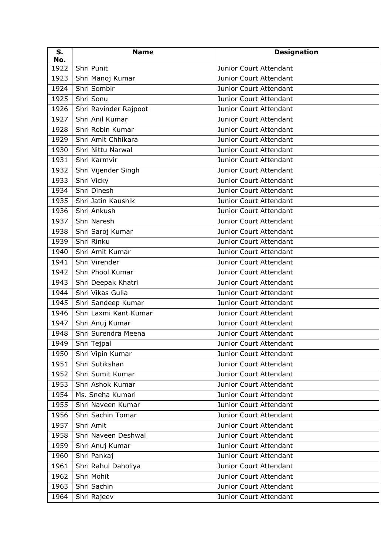| S.<br>No. | <b>Name</b>           | <b>Designation</b>            |
|-----------|-----------------------|-------------------------------|
| 1922      | Shri Punit            | Junior Court Attendant        |
| 1923      | Shri Manoj Kumar      | Junior Court Attendant        |
| 1924      | Shri Sombir           | Junior Court Attendant        |
| 1925      | Shri Sonu             | Junior Court Attendant        |
| 1926      | Shri Ravinder Rajpoot | Junior Court Attendant        |
| 1927      | Shri Anil Kumar       | Junior Court Attendant        |
| 1928      | Shri Robin Kumar      | Junior Court Attendant        |
| 1929      | Shri Amit Chhikara    | Junior Court Attendant        |
| 1930      | Shri Nittu Narwal     | Junior Court Attendant        |
| 1931      | Shri Karmvir          | Junior Court Attendant        |
| 1932      | Shri Vijender Singh   | Junior Court Attendant        |
| 1933      | Shri Vicky            | Junior Court Attendant        |
| 1934      | Shri Dinesh           | Junior Court Attendant        |
| 1935      | Shri Jatin Kaushik    | Junior Court Attendant        |
| 1936      | Shri Ankush           | Junior Court Attendant        |
| 1937      | Shri Naresh           | Junior Court Attendant        |
| 1938      | Shri Saroj Kumar      | Junior Court Attendant        |
| 1939      | Shri Rinku            | Junior Court Attendant        |
| 1940      | Shri Amit Kumar       | Junior Court Attendant        |
| 1941      | Shri Virender         | Junior Court Attendant        |
| 1942      | Shri Phool Kumar      | Junior Court Attendant        |
| 1943      | Shri Deepak Khatri    | Junior Court Attendant        |
| 1944      | Shri Vikas Gulia      | Junior Court Attendant        |
| 1945      | Shri Sandeep Kumar    | Junior Court Attendant        |
| 1946      | Shri Laxmi Kant Kumar | Junior Court Attendant        |
| 1947      | Shri Anuj Kumar       | Junior Court Attendant        |
| 1948      | Shri Surendra Meena   | Junior Court Attendant        |
|           | $1949$ Shri Tejpal    | Junior Court Attendant        |
| 1950      | Shri Vipin Kumar      | Junior Court Attendant        |
| 1951      | Shri Sutikshan        | Junior Court Attendant        |
| 1952      | Shri Sumit Kumar      | Junior Court Attendant        |
| 1953      | Shri Ashok Kumar      | <b>Junior Court Attendant</b> |
| 1954      | Ms. Sneha Kumari      | Junior Court Attendant        |
| 1955      | Shri Naveen Kumar     | Junior Court Attendant        |
| 1956      | Shri Sachin Tomar     | Junior Court Attendant        |
| 1957      | Shri Amit             | Junior Court Attendant        |
| 1958      | Shri Naveen Deshwal   | Junior Court Attendant        |
| 1959      | Shri Anuj Kumar       | Junior Court Attendant        |
| 1960      | Shri Pankaj           | Junior Court Attendant        |
| 1961      | Shri Rahul Daholiya   | Junior Court Attendant        |
| 1962      | Shri Mohit            | Junior Court Attendant        |
| 1963      | Shri Sachin           | Junior Court Attendant        |
| 1964      | Shri Rajeev           | Junior Court Attendant        |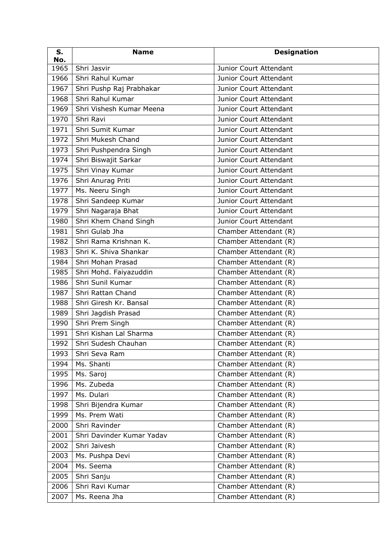| S.<br>No. | <b>Name</b>               | <b>Designation</b>     |
|-----------|---------------------------|------------------------|
| 1965      | Shri Jasvir               | Junior Court Attendant |
| 1966      | Shri Rahul Kumar          | Junior Court Attendant |
| 1967      | Shri Pushp Raj Prabhakar  | Junior Court Attendant |
| 1968      | Shri Rahul Kumar          | Junior Court Attendant |
| 1969      | Shri Vishesh Kumar Meena  | Junior Court Attendant |
| 1970      | Shri Ravi                 | Junior Court Attendant |
| 1971      | Shri Sumit Kumar          | Junior Court Attendant |
| 1972      | Shri Mukesh Chand         | Junior Court Attendant |
| 1973      | Shri Pushpendra Singh     | Junior Court Attendant |
| 1974      | Shri Biswajit Sarkar      | Junior Court Attendant |
| 1975      | Shri Vinay Kumar          | Junior Court Attendant |
| 1976      | Shri Anurag Priti         | Junior Court Attendant |
| 1977      | Ms. Neeru Singh           | Junior Court Attendant |
| 1978      | Shri Sandeep Kumar        | Junior Court Attendant |
| 1979      | Shri Nagaraja Bhat        | Junior Court Attendant |
| 1980      | Shri Khem Chand Singh     | Junior Court Attendant |
| 1981      | Shri Gulab Jha            | Chamber Attendant (R)  |
| 1982      | Shri Rama Krishnan K.     | Chamber Attendant (R)  |
| 1983      | Shri K. Shiva Shankar     | Chamber Attendant (R)  |
| 1984      | Shri Mohan Prasad         | Chamber Attendant (R)  |
| 1985      | Shri Mohd. Faiyazuddin    | Chamber Attendant (R)  |
| 1986      | Shri Sunil Kumar          | Chamber Attendant (R)  |
| 1987      | Shri Rattan Chand         | Chamber Attendant (R)  |
| 1988      | Shri Giresh Kr. Bansal    | Chamber Attendant (R)  |
| 1989      | Shri Jagdish Prasad       | Chamber Attendant (R)  |
| 1990      | Shri Prem Singh           | Chamber Attendant (R)  |
| 1991      | Shri Kishan Lal Sharma    | Chamber Attendant (R)  |
|           | 1992 Shri Sudesh Chauhan  | Chamber Attendant (R)  |
| 1993      | Shri Seva Ram             | Chamber Attendant (R)  |
| 1994      | Ms. Shanti                | Chamber Attendant (R)  |
| 1995      | Ms. Saroj                 | Chamber Attendant (R)  |
| 1996      | Ms. Zubeda                | Chamber Attendant (R)  |
| 1997      | Ms. Dulari                | Chamber Attendant (R)  |
| 1998      | Shri Bijendra Kumar       | Chamber Attendant (R)  |
| 1999      | Ms. Prem Wati             | Chamber Attendant (R)  |
| 2000      | Shri Ravinder             | Chamber Attendant (R)  |
| 2001      | Shri Davinder Kumar Yadav | Chamber Attendant (R)  |
| 2002      | Shri Jaivesh              | Chamber Attendant (R)  |
| 2003      | Ms. Pushpa Devi           | Chamber Attendant (R)  |
| 2004      | Ms. Seema                 | Chamber Attendant (R)  |
| 2005      | Shri Sanju                | Chamber Attendant (R)  |
| 2006      | Shri Ravi Kumar           | Chamber Attendant (R)  |
| 2007      | Ms. Reena Jha             | Chamber Attendant (R)  |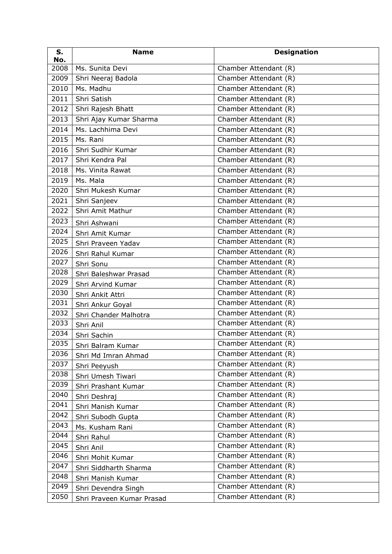| S.<br>No. | <b>Name</b>               | <b>Designation</b>    |
|-----------|---------------------------|-----------------------|
| 2008      | Ms. Sunita Devi           | Chamber Attendant (R) |
| 2009      | Shri Neeraj Badola        | Chamber Attendant (R) |
| 2010      | Ms. Madhu                 | Chamber Attendant (R) |
| 2011      | Shri Satish               | Chamber Attendant (R) |
| 2012      | Shri Rajesh Bhatt         | Chamber Attendant (R) |
| 2013      | Shri Ajay Kumar Sharma    | Chamber Attendant (R) |
| 2014      | Ms. Lachhima Devi         | Chamber Attendant (R) |
| 2015      | Ms. Rani                  | Chamber Attendant (R) |
| 2016      | Shri Sudhir Kumar         | Chamber Attendant (R) |
| 2017      | Shri Kendra Pal           | Chamber Attendant (R) |
| 2018      | Ms. Vinita Rawat          | Chamber Attendant (R) |
| 2019      | Ms. Mala                  | Chamber Attendant (R) |
| 2020      | Shri Mukesh Kumar         | Chamber Attendant (R) |
| 2021      | Shri Sanjeev              | Chamber Attendant (R) |
| 2022      | Shri Amit Mathur          | Chamber Attendant (R) |
| 2023      | Shri Ashwani              | Chamber Attendant (R) |
| 2024      | Shri Amit Kumar           | Chamber Attendant (R) |
| 2025      | Shri Praveen Yadav        | Chamber Attendant (R) |
| 2026      | Shri Rahul Kumar          | Chamber Attendant (R) |
| 2027      | Shri Sonu                 | Chamber Attendant (R) |
| 2028      | Shri Baleshwar Prasad     | Chamber Attendant (R) |
| 2029      | Shri Arvind Kumar         | Chamber Attendant (R) |
| 2030      | Shri Ankit Attri          | Chamber Attendant (R) |
| 2031      | Shri Ankur Goyal          | Chamber Attendant (R) |
| 2032      | Shri Chander Malhotra     | Chamber Attendant (R) |
| 2033      | Shri Anil                 | Chamber Attendant (R) |
| 2034      | Shri Sachin               | Chamber Attendant (R) |
| 2035      | Shri Balram Kumar         | Chamber Attendant (R) |
| 2036      | Shri Md Imran Ahmad       | Chamber Attendant (R) |
| 2037      | Shri Peeyush              | Chamber Attendant (R) |
| 2038      | Shri Umesh Tiwari         | Chamber Attendant (R) |
| 2039      | Shri Prashant Kumar       | Chamber Attendant (R) |
| 2040      | Shri Deshraj              | Chamber Attendant (R) |
| 2041      | Shri Manish Kumar         | Chamber Attendant (R) |
| 2042      | Shri Subodh Gupta         | Chamber Attendant (R) |
| 2043      | Ms. Kusham Rani           | Chamber Attendant (R) |
| 2044      | Shri Rahul                | Chamber Attendant (R) |
| 2045      | Shri Anil                 | Chamber Attendant (R) |
| 2046      | Shri Mohit Kumar          | Chamber Attendant (R) |
| 2047      | Shri Siddharth Sharma     | Chamber Attendant (R) |
| 2048      | Shri Manish Kumar         | Chamber Attendant (R) |
| 2049      | Shri Devendra Singh       | Chamber Attendant (R) |
| 2050      | Shri Praveen Kumar Prasad | Chamber Attendant (R) |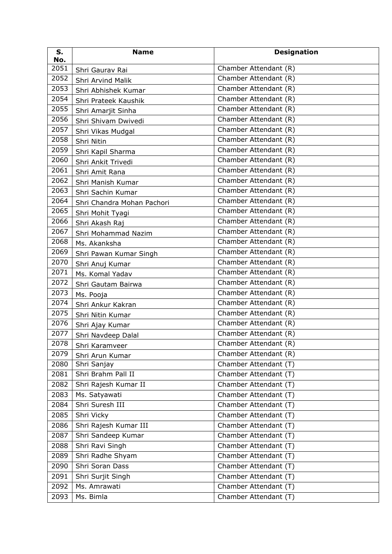| S.<br>No. | <b>Name</b>                | <b>Designation</b>    |
|-----------|----------------------------|-----------------------|
| 2051      | Shri Gaurav Rai            | Chamber Attendant (R) |
| 2052      | Shri Arvind Malik          | Chamber Attendant (R) |
| 2053      | Shri Abhishek Kumar        | Chamber Attendant (R) |
| 2054      | Shri Prateek Kaushik       | Chamber Attendant (R) |
| 2055      | Shri Amarjit Sinha         | Chamber Attendant (R) |
| 2056      | Shri Shivam Dwivedi        | Chamber Attendant (R) |
| 2057      | Shri Vikas Mudgal          | Chamber Attendant (R) |
| 2058      | Shri Nitin                 | Chamber Attendant (R) |
| 2059      | Shri Kapil Sharma          | Chamber Attendant (R) |
| 2060      | Shri Ankit Trivedi         | Chamber Attendant (R) |
| 2061      | Shri Amit Rana             | Chamber Attendant (R) |
| 2062      | Shri Manish Kumar          | Chamber Attendant (R) |
| 2063      | Shri Sachin Kumar          | Chamber Attendant (R) |
| 2064      | Shri Chandra Mohan Pachori | Chamber Attendant (R) |
| 2065      | Shri Mohit Tyagi           | Chamber Attendant (R) |
| 2066      | Shri Akash Raj             | Chamber Attendant (R) |
| 2067      | Shri Mohammad Nazim        | Chamber Attendant (R) |
| 2068      | Ms. Akanksha               | Chamber Attendant (R) |
| 2069      | Shri Pawan Kumar Singh     | Chamber Attendant (R) |
| 2070      | Shri Anuj Kumar            | Chamber Attendant (R) |
| 2071      | Ms. Komal Yadav            | Chamber Attendant (R) |
| 2072      | Shri Gautam Bairwa         | Chamber Attendant (R) |
| 2073      | Ms. Pooja                  | Chamber Attendant (R) |
| 2074      | Shri Ankur Kakran          | Chamber Attendant (R) |
| 2075      | Shri Nitin Kumar           | Chamber Attendant (R) |
| 2076      | Shri Ajay Kumar            | Chamber Attendant (R) |
| 2077      | Shri Navdeep Dalal         | Chamber Attendant (R) |
| 2078      | Shri Karamveer             | Chamber Attendant (R) |
| 2079      | Shri Arun Kumar            | Chamber Attendant (R) |
| 2080      | Shri Sanjay                | Chamber Attendant (T) |
| 2081      | Shri Brahm Pall II         | Chamber Attendant (T) |
| 2082      | Shri Rajesh Kumar II       | Chamber Attendant (T) |
| 2083      | Ms. Satyawati              | Chamber Attendant (T) |
| 2084      | Shri Suresh III            | Chamber Attendant (T) |
| 2085      | Shri Vicky                 | Chamber Attendant (T) |
| 2086      | Shri Rajesh Kumar III      | Chamber Attendant (T) |
| 2087      | Shri Sandeep Kumar         | Chamber Attendant (T) |
| 2088      | Shri Ravi Singh            | Chamber Attendant (T) |
| 2089      | Shri Radhe Shyam           | Chamber Attendant (T) |
| 2090      | Shri Soran Dass            | Chamber Attendant (T) |
| 2091      | Shri Surjit Singh          | Chamber Attendant (T) |
| 2092      | Ms. Amrawati               | Chamber Attendant (T) |
| 2093      | Ms. Bimla                  | Chamber Attendant (T) |